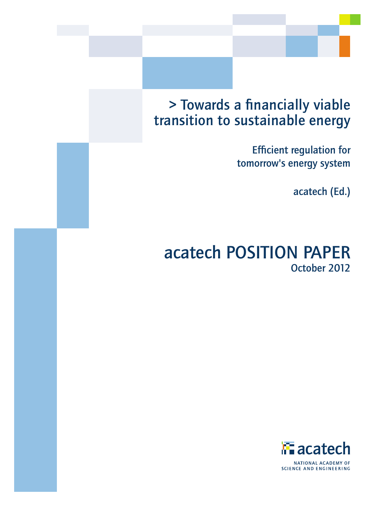# > Towards a financially viable transition to sustainable energy

Efficient regulation for tomorrow's energy system

acatech (Ed.)

# acatech POSITION PAPER October 2012

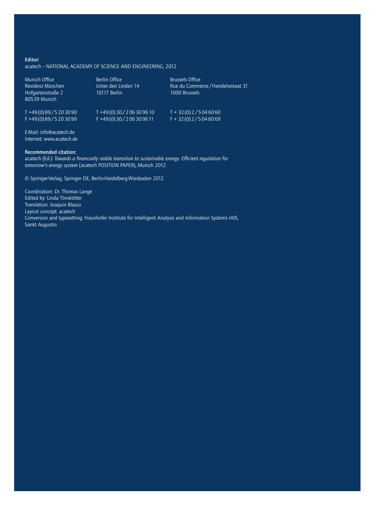#### Editor:

acatech – National Academy of Science and Engineering, 2012

| Munich Office<br>Residenz München<br>Hofgartenstraße 2<br>80539 Munich | Berlin Office<br>Unter den Linden 14<br>10117 Berlin | <b>Brussels Office</b><br>Rue du Commerce / Handelsstraat 31<br>1000 Brussels |
|------------------------------------------------------------------------|------------------------------------------------------|-------------------------------------------------------------------------------|
| $T + 49(0)89/5203090$                                                  | $T + 49(0)30/206309610$                              | $T + 32(0)2/5046060$                                                          |
| F+49(0)89/5203099                                                      | F+49(0)30/206309611                                  | $F + 32(0)2/5046069$                                                          |

E-Mail: info@acatech.de Internet: www.acatech.de

#### Recommended citation:

acatech (Ed.): *Towards a financially viable transition to sustainable energy. Efficient regulation for tomorrow's energy system* (acatech POSITION PAPER), Munich 2012.

© Springer-Verlag, Springer DE, Berlin-Heidelberg-Wiesbaden 2012

Coordination: Dr. Thomas Lange Edited by: Linda Tönskötter Translation: Joaquin Blasco Layout concept: acatech Conversion and typesetting: Fraunhofer Institute for Intelligent Analysis and Information Systems IAIS, Sankt Augustin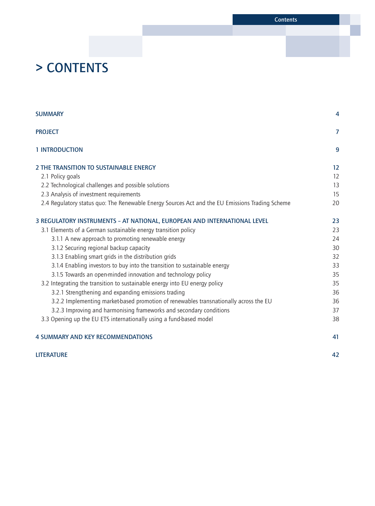Contents

# > CONTENTS

| <b>SUMMARY</b>                                                                                  | 4              |
|-------------------------------------------------------------------------------------------------|----------------|
| <b>PROJECT</b>                                                                                  | $\overline{7}$ |
| 1 INTRODUCTION                                                                                  | 9              |
| 2 THE TRANSITION TO SUSTAINABLE ENERGY                                                          | 12             |
| 2.1 Policy goals                                                                                | 12             |
| 2.2 Technological challenges and possible solutions                                             | 13             |
| 2.3 Analysis of investment requirements                                                         | 15             |
| 2.4 Regulatory status quo: The Renewable Energy Sources Act and the EU Emissions Trading Scheme | 20             |
| 3 REGULATORY INSTRUMENTS - AT NATIONAL, EUROPEAN AND INTERNATIONAL LEVEL                        | 23             |
| 3.1 Elements of a German sustainable energy transition policy                                   | 23             |
| 3.1.1 A new approach to promoting renewable energy                                              | 24             |
| 3.1.2 Securing regional backup capacity                                                         | 30             |
| 3.1.3 Enabling smart grids in the distribution grids                                            | 32             |
| 3.1.4 Enabling investors to buy into the transition to sustainable energy                       | 33             |
| 3.1.5 Towards an open-minded innovation and technology policy                                   | 35             |
| 3.2 Integrating the transition to sustainable energy into EU energy policy                      | 35             |
| 3.2.1 Strengthening and expanding emissions trading                                             | 36             |
| 3.2.2 Implementing market-based promotion of renewables transnationally across the EU           | 36             |
| 3.2.3 Improving and harmonising frameworks and secondary conditions                             | 37             |
| 3.3 Opening up the EU ETS internationally using a fund-based model                              | 38             |
| <b>4 SUMMARY AND KEY RECOMMENDATIONS</b>                                                        | 41             |
| <b>LITERATURE</b>                                                                               | 42             |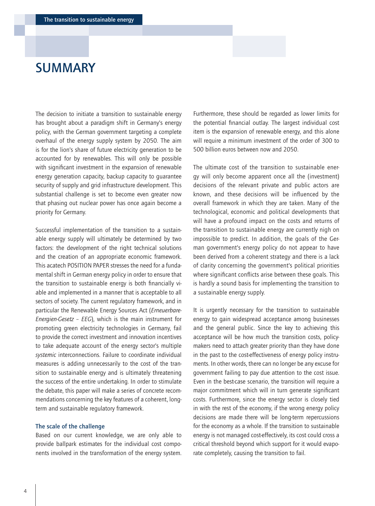# <span id="page-3-0"></span>SUMMARY

The decision to initiate a transition to sustainable energy has brought about a paradigm shift in Germany's energy policy, with the German government targeting a complete overhaul of the energy supply system by 2050. The aim is for the lion's share of future electricity generation to be accounted for by renewables. This will only be possible with significant investment in the expansion of renewable energy generation capacity, backup capacity to guarantee security of supply and grid infrastructure development. This substantial challenge is set to become even greater now that phasing out nuclear power has once again become a priority for Germany.

Successful implementation of the transition to a sustainable energy supply will ultimately be determined by two factors: the development of the right technical solutions and the creation of an appropriate economic framework. This acatech POSITION PAPER stresses the need for a fundamental shift in German energy policy in order to ensure that the transition to sustainable energy is both financially viable and implemented in a manner that is acceptable to all sectors of society. The current regulatory framework, and in particular the Renewable Energy Sources Act (*Erneuerbare-Energien-Gesetz – EEG*), which is the main instrument for promoting green electricity technologies in Germany, fail to provide the correct investment and innovation incentives to take adequate account of the energy sector's multiple *systemic* interconnections. Failure to coordinate individual measures is adding unnecessarily to the cost of the transition to sustainable energy and is ultimately threatening the success of the entire undertaking. In order to stimulate the debate, this paper will make a series of concrete recommendations concerning the key features of a coherent, longterm and sustainable regulatory framework.

#### The scale of the challenge

Based on our current knowledge, we are only able to provide ballpark estimates for the individual cost components involved in the transformation of the energy system. Furthermore, these should be regarded as lower limits for the potential financial outlay. The largest individual cost item is the expansion of renewable energy, and this alone will require a minimum investment of the order of 300 to 500 billion euros between now and 2050.

The ultimate cost of the transition to sustainable energy will only become apparent once all the (investment) decisions of the relevant private and public actors are known, and these decisions will be influenced by the overall framework in which they are taken. Many of the technological, economic and political developments that will have a profound impact on the costs and returns of the transition to sustainable energy are currently nigh on impossible to predict. In addition, the goals of the German government's energy policy do not appear to have been derived from a coherent strategy and there is a lack of clarity concerning the government's political priorities where significant conflicts arise between these goals. This is hardly a sound basis for implementing the transition to a sustainable energy supply.

It is urgently necessary for the transition to sustainable energy to gain widespread acceptance among businesses and the general public. Since the key to achieving this acceptance will be how much the transition costs, policymakers need to attach greater priority than they have done in the past to the cost-effectiveness of energy policy instruments. In other words, there can no longer be any excuse for government failing to pay due attention to the cost issue. Even in the best-case scenario, the transition will require a major commitment which will in turn generate significant costs. Furthermore, since the energy sector is closely tied in with the rest of the economy, if the wrong energy policy decisions are made there will be long-term repercussions for the economy as a whole. If the transition to sustainable energy is not managed cost-effectively, its cost could cross a critical threshold beyond which support for it would evaporate completely, causing the transition to fail.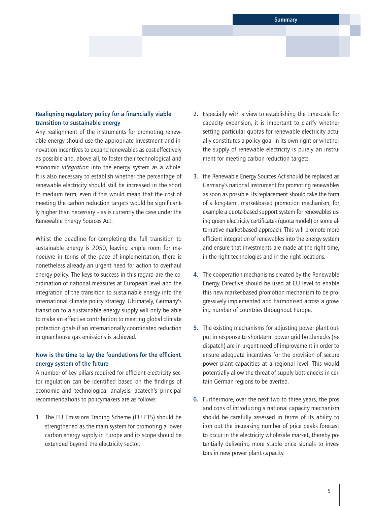# Realigning regulatory policy for a financially viable transition to sustainable energy

Any realignment of the instruments for promoting renewable energy should use the appropriate investment and innovation incentives to expand renewables as cost-effectively as possible and, above all, to foster their technological and economic *integration* into the energy system as a whole. It is also necessary to establish whether the percentage of renewable electricity should still be increased in the short to medium term, even if this would mean that the cost of meeting the carbon reduction targets would be significantly higher than necessary – as is currently the case under the Renewable Energy Sources Act.

Whilst the deadline for completing the full transition to sustainable energy is 2050, leaving ample room for manoeuvre in terms of the pace of implementation, there is nonetheless already an urgent need for action to overhaul energy policy. The keys to success in this regard are the coordination of national measures at European level and the integration of the transition to sustainable energy into the international climate policy strategy. Ultimately, Germany's transition to a sustainable energy supply will only be able to make an effective contribution to meeting global climate protection goals if an internationally coordinated reduction in greenhouse gas emissions is achieved.

# Now is the time to lay the foundations for the efficient energy system of the future

A number of key pillars required for efficient electricity sector regulation can be identified based on the findings of economic and technological analysis. acatech's principal recommendations to policymakers are as follows:

1. The EU Emissions Trading Scheme (EU ETS) should be strengthened as the main system for promoting a lower carbon energy supply in Europe and its scope should be extended beyond the electricity sector.

- 2. Especially with a view to establishing the timescale for capacity expansion, it is important to clarify whether setting particular quotas for renewable electricity actually constitutes a policy goal in its own right or whether the supply of renewable electricity is purely an instrument for meeting carbon reduction targets.
- 3. the Renewable Energy Sources Act should be replaced as Germany's national instrument for promoting renewables as soon as possible. Its replacement should take the form of a long-term, market-based promotion mechanism, for example a quota-based support system for renewables using green electricity certificates (quota model) or some alternative market-based approach. This will promote more efficient integration of renewables into the energy system and ensure that investments are made at the right time, in the right technologies and in the right locations.
- 4. The cooperation mechanisms created by the Renewable Energy Directive should be used at EU level to enable this new market-based promotion mechanism to be progressively implemented and harmonised across a growing number of countries throughout Europe.
- 5. The existing mechanisms for adjusting power plant output in response to short-term power grid bottlenecks (redispatch) are in urgent need of improvement in order to ensure adequate incentives for the provision of secure power plant capacities at a regional level. This would potentially allow the threat of supply bottlenecks in certain German regions to be averted.
- 6. Furthermore, over the next two to three years, the pros and cons of introducing a national capacity mechanism should be carefully assessed in terms of its ability to iron out the increasing number of price peaks forecast to occur in the electricity wholesale market, thereby potentially delivering more stable price signals to investors in new power plant capacity.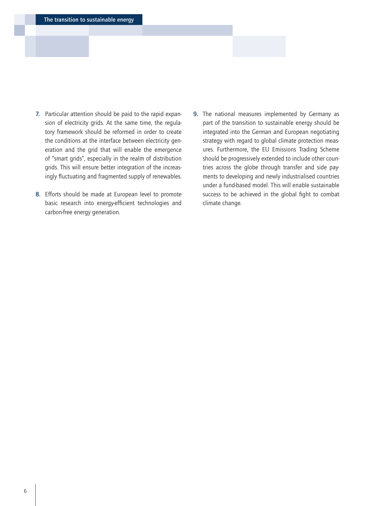- 7. Particular attention should be paid to the rapid expansion of electricity grids. At the same time, the regulatory framework should be reformed in order to create the conditions at the interface between electricity generation and the grid that will enable the emergence of "smart grids", especially in the realm of distribution grids. This will ensure better integration of the increasingly fluctuating and fragmented supply of renewables.
- 8. Efforts should be made at European level to promote basic research into energy-efficient technologies and carbon-free energy generation.
- 9. The national measures implemented by Germany as part of the transition to sustainable energy should be integrated into the German and European negotiating strategy with regard to global climate protection measures. Furthermore, the EU Emissions Trading Scheme should be progressively extended to include other countries across the globe through transfer and side payments to developing and newly industrialised countries under a fund-based model. This will enable sustainable success to be achieved in the global fight to combat climate change.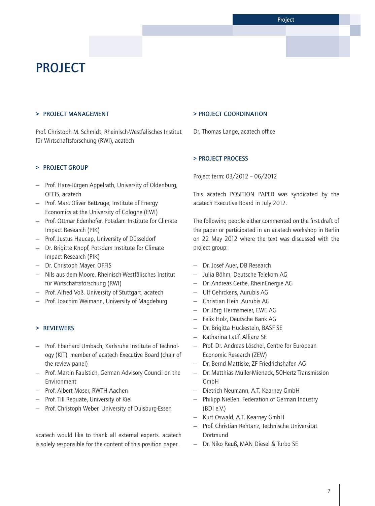# <span id="page-6-0"></span>**PROJECT**

## > PROJECT MANAGEMENT

Prof. Christoph M. Schmidt, Rheinisch-Westfälisches Institut für Wirtschaftsforschung (RWI), acatech

## > PROJECT GROUP

- Prof. Hans-Jürgen Appelrath, University of Oldenburg, OFFIS, acatech
- Prof. Marc Oliver Bettzüge, Institute of Energy Economics at the University of Cologne (EWI)
- Prof. Ottmar Edenhofer, Potsdam Institute for Climate Impact Research (PIK)
- Prof. Justus Haucap, University of Düsseldorf
- Dr. Brigitte Knopf, Potsdam Institute for Climate Impact Research (PIK)
- Dr. Christoph Mayer, OFFIS
- Nils aus dem Moore, Rheinisch-Westfälisches Institut für Wirtschaftsforschung (RWI)
- Prof. Alfred Voß, University of Stuttgart, acatech
- Prof. Joachim Weimann, University of Magdeburg

## > REVIEWERS

- Prof. Eberhard Umbach, Karlsruhe Institute of Technology (KIT), member of acatech Executive Board (chair of the review panel)
- Prof. Martin Faulstich, German Advisory Council on the Environment
- Prof. Albert Moser, RWTH Aachen
- Prof. Till Requate, University of Kiel
- Prof. Christoph Weber, University of Duisburg-Essen

acatech would like to thank all external experts. acatech is solely responsible for the content of this position paper.

#### > PROJECT COORDINATION

Dr. Thomas Lange, acatech office

## > PROJECT process

Project term: 03/2012 – 06/2012

This acatech POSITION PAPER was syndicated by the acatech Executive Board in July 2012.

The following people either commented on the first draft of the paper or participated in an acatech workshop in Berlin on 22 May 2012 where the text was discussed with the project group:

- Dr. Josef Auer, DB Research
- Julia Böhm, Deutsche Telekom AG
- Dr. Andreas Cerbe, RheinEnergie AG
- Ulf Gehrckens, Aurubis AG
- Christian Hein, Aurubis AG
- Dr. Jörg Hermsmeier, EWE AG
- Felix Holz, Deutsche Bank AG
- Dr. Brigitta Huckestein, BASF SE
- Katharina Latif, Allianz SE
- Prof. Dr. Andreas Löschel, Centre for European Economic Research (ZEW)
- Dr. Bernd Mattiske, ZF Friedrichshafen AG
- Dr. Matthias Müller-Mienack, 50Hertz Transmission GmbH
- Dietrich Neumann, A.T. Kearney GmbH
- Philipp Nießen, Federation of German Industry (BDI e.V.)
- Kurt Oswald, A.T. Kearney GmbH
- Prof. Christian Rehtanz, Technische Universität Dortmund
- Dr. Niko Reuß, MAN Diesel & Turbo SE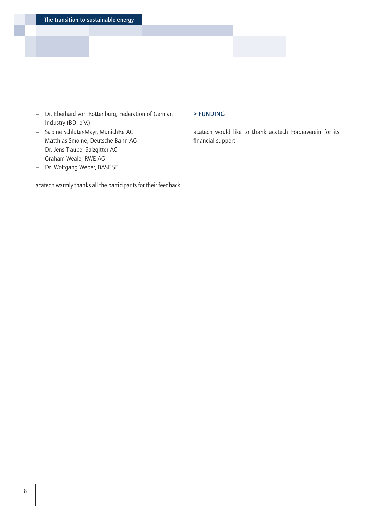- Dr. Eberhard von Rottenburg, Federation of German Industry (BDI e.V.)
- Sabine Schlüter-Mayr, MunichRe AG
- Matthias Smolne, Deutsche Bahn AG
- Dr. Jens Traupe, Salzgitter AG
- Graham Weale, RWE AG
- Dr. Wolfgang Weber, BASF SE

acatech warmly thanks all the participants for their feedback.

## > FUNDING

acatech would like to thank acatech Förderverein for its financial support.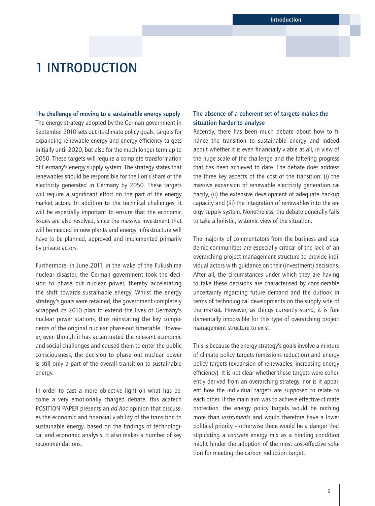# <span id="page-8-0"></span>1 INTRODUCTION

The challenge of moving to a sustainable energy supply The energy strategy adopted by the German government in September 2010 sets out its climate policy goals, targets for expanding renewable energy and energy efficiency targets initially until 2020, but also for the much longer term up to 2050. These targets will require a complete transformation of Germany's energy supply system. The strategy states that renewables should be responsible for the lion's share of the electricity generated in Germany by 2050. These targets will require a significant effort on the part of the energy market actors. In addition to the technical challenges, it will be especially important to ensure that the economic issues are also resolved, since the massive investment that will be needed in new plants and energy infrastructure will have to be planned, approved and implemented primarily by private actors.

Furthermore, in June 2011, in the wake of the Fukushima nuclear disaster, the German government took the decision to phase out nuclear power, thereby accelerating the shift towards sustainable energy. Whilst the energy strategy's goals were retained, the government completely scrapped its 2010 plan to extend the lives of Germany's nuclear power stations, thus reinstating the key components of the original nuclear phase-out timetable. However, even though it has accentuated the relevant economic and social challenges and caused them to enter the public consciousness, the decision to phase out nuclear power is still only a part of the overall transition to sustainable energy.

In order to cast a more objective light on what has become a very emotionally charged debate, this acatech POSITION PAPER presents an *ad hoc* opinion that discusses the economic and financial viability of the transition to sustainable energy, based on the findings of technological and economic analysis. It also makes a number of key recommendations.

# The absence of a coherent set of targets makes the situation harder to analyse

Recently, there has been much debate about how to finance the transition to sustainable energy and indeed about whether it is even financially viable at all, in view of the huge scale of the challenge and the faltering progress that has been achieved to date. The debate does address the three key aspects of the cost of the transition: (i) the massive expansion of renewable electricity generation capacity, (ii) the extensive development of adequate backup capacity and (iii) the integration of renewables into the energy supply system. Nonetheless, the debate generally fails to take a holistic, systemic view of the situation.

The majority of commentators from the business and academic communities are especially critical of the lack of an overarching project management structure to provide individual actors with guidance on their (investment) decisions. After all, the circumstances under which they are having to take these decisions are characterised by considerable uncertainty regarding future demand and the outlook in terms of technological developments on the supply side of the market. However, as things currently stand, it is fundamentally impossible for this type of overarching project management structure to exist.

This is because the energy strategy's goals involve a mixture of climate policy targets (emissions reduction) and energy policy targets (expansion of renewables, increasing energy efficiency). It is not clear whether these targets were coherently derived from an overarching strategy, nor is it apparent how the individual targets are supposed to relate to each other. If the main aim was to achieve effective climate protection, the energy policy targets would be nothing more than *instruments* and would therefore have a lower political priority – otherwise there would be a danger that stipulating a *concrete* energy mix as a binding condition might hinder the adoption of the most cost-effective solution for meeting the carbon reduction target.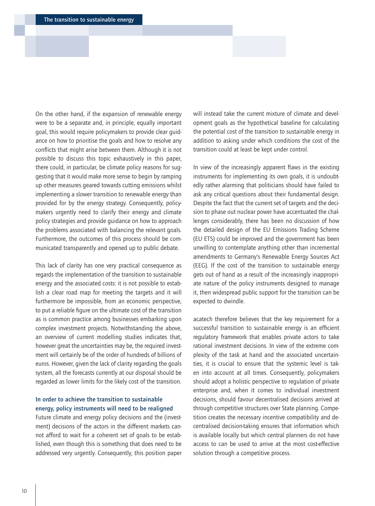On the other hand, if the expansion of renewable energy were to be a separate and, in principle, equally important goal, this would require policymakers to provide clear guidance on how to prioritise the goals and how to resolve any conflicts that might arise between them. Although it is not possible to discuss this topic exhaustively in this paper, there could, in particular, be climate policy reasons for suggesting that it would make more sense to begin by ramping up other measures geared towards cutting emissions whilst implementing a slower transition to renewable energy than provided for by the energy strategy. Consequently, policymakers urgently need to clarify their energy and climate policy strategies and provide guidance on how to approach the problems associated with balancing the relevant goals. Furthermore, the outcomes of this process should be communicated transparently and opened up to public debate.

This lack of clarity has one very practical consequence as regards the implementation of the transition to sustainable energy and the associated costs: it is not possible to establish a clear road map for meeting the targets and it will furthermore be impossible, from an economic perspective, to put a reliable figure on the ultimate cost of the transition as is common practice among businesses embarking upon complex investment projects. Notwithstanding the above, an overview of current modelling studies indicates that, however great the uncertainties may be, the required investment will certainly be of the order of hundreds of billions of euros. However, given the lack of clarity regarding the goals system, all the forecasts currently at our disposal should be regarded as lower limits for the likely cost of the transition.

# In order to achieve the transition to sustainable energy, policy instruments will need to be realigned

Future climate and energy policy decisions and the (investment) decisions of the actors in the different markets cannot afford to wait for a coherent set of goals to be established, even though this is something that does need to be addressed very urgently. Consequently, this position paper will instead take the current mixture of climate and development goals as the hypothetical baseline for calculating the potential cost of the transition to sustainable energy in addition to asking under which conditions the cost of the transition could at least be kept under control.

In view of the increasingly apparent flaws in the existing instruments for implementing its own goals, it is undoubtedly rather alarming that politicians should have failed to ask any critical questions about their fundamental design. Despite the fact that the current set of targets and the decision to phase out nuclear power have accentuated the challenges considerably, there has been no discussion of how the detailed design of the EU Emissions Trading Scheme (EU ETS) could be improved and the government has been unwilling to contemplate anything other than incremental amendments to Germany's Renewable Energy Sources Act (EEG). If the cost of the transition to sustainable energy gets out of hand as a result of the increasingly inappropriate nature of the policy instruments designed to manage it, then widespread public support for the transition can be expected to dwindle.

acatech therefore believes that the key requirement for a successful transition to sustainable energy is an efficient regulatory framework that enables private actors to take rational investment decisions. In view of the extreme complexity of the task at hand and the associated uncertainties, it is crucial to ensure that the systemic level is taken into account at all times. Consequently, policymakers should adopt a holistic perspective to regulation of private enterprise and, when it comes to individual investment decisions, should favour decentralised decisions arrived at through competitive structures over State planning. Competition creates the necessary incentive compatibility and decentralised decision-taking ensures that information which is available locally but which central planners do not have access to can be used to arrive at the most cost-effective solution through a competitive process.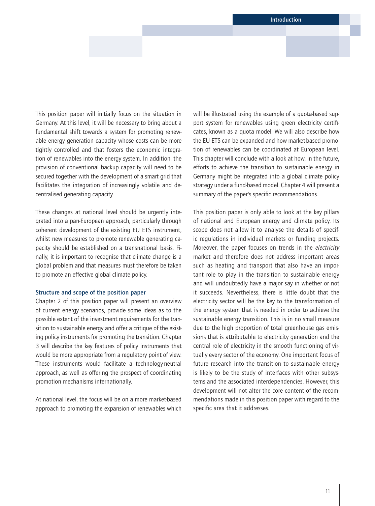This position paper will initially focus on the situation in Germany. At this level, it will be necessary to bring about a fundamental shift towards a system for promoting renewable energy generation capacity whose costs can be more tightly controlled and that fosters the economic integration of renewables into the energy system. In addition, the provision of conventional backup capacity will need to be secured together with the development of a smart grid that facilitates the integration of increasingly volatile and decentralised generating capacity.

These changes at national level should be urgently integrated into a pan-European approach, particularly through coherent development of the existing EU ETS instrument, whilst new measures to promote renewable generating capacity should be established on a transnational basis. Finally, it is important to recognise that climate change is a global problem and that measures must therefore be taken to promote an effective global climate policy.

### Structure and scope of the position paper

Chapter 2 of this position paper will present an overview of current energy scenarios, provide some ideas as to the possible extent of the investment requirements for the transition to sustainable energy and offer a critique of the existing policy instruments for promoting the transition. Chapter 3 will describe the key features of policy instruments that would be more appropriate from a regulatory point of view. These instruments would facilitate a technology-neutral approach, as well as offering the prospect of coordinating promotion mechanisms internationally.

At national level, the focus will be on a more market-based approach to promoting the expansion of renewables which will be illustrated using the example of a quota-based support system for renewables using green electricity certificates, known as a quota model. We will also describe how the EU ETS can be expanded and how market-based promotion of renewables can be coordinated at European level. This chapter will conclude with a look at how, in the future, efforts to achieve the transition to sustainable energy in Germany might be integrated into a global climate policy strategy under a fund-based model. Chapter 4 will present a summary of the paper's specific recommendations.

This position paper is only able to look at the key pillars of national and European energy and climate policy. Its scope does not allow it to analyse the details of specific regulations in individual markets or funding projects. Moreover, the paper focuses on trends in the *electricity* market and therefore does not address important areas such as heating and transport that also have an important role to play in the transition to sustainable energy and will undoubtedly have a major say in whether or not it succeeds. Nevertheless, there is little doubt that the electricity sector will be the key to the transformation of the energy system that is needed in order to achieve the sustainable energy transition. This is in no small measure due to the high proportion of total greenhouse gas emissions that is attributable to electricity generation and the central role of electricity in the smooth functioning of virtually every sector of the economy. One important focus of future research into the transition to sustainable energy is likely to be the study of interfaces with other subsystems and the associated interdependencies. However, this development will not alter the core content of the recommendations made in this position paper with regard to the specific area that it addresses.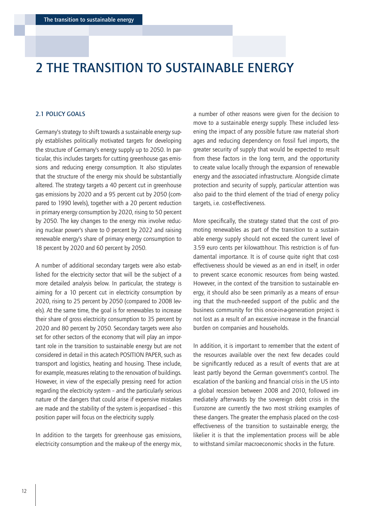# <span id="page-11-0"></span>2 THE TRANSITION TO SUSTAINABLE ENERGY

## 2.1 POLICY GOALS

Germany's strategy to shift towards a sustainable energy supply establishes politically motivated targets for developing the structure of Germany's energy supply up to 2050. In particular, this includes targets for cutting greenhouse gas emissions and reducing energy consumption. It also stipulates that the structure of the energy mix should be substantially altered. The strategy targets a 40 percent cut in greenhouse gas emissions by 2020 and a 95 percent cut by 2050 (compared to 1990 levels), together with a 20 percent reduction in primary energy consumption by 2020, rising to 50 percent by 2050. The key changes to the energy mix involve reducing nuclear power's share to 0 percent by 2022 and raising renewable energy's share of primary energy consumption to 18 percent by 2020 and 60 percent by 2050.

A number of additional secondary targets were also established for the electricity sector that will be the subject of a more detailed analysis below. In particular, the strategy is aiming for a 10 percent cut in electricity consumption by 2020, rising to 25 percent by 2050 (compared to 2008 levels). At the same time, the goal is for renewables to increase their share of gross electricity consumption to 35 percent by 2020 and 80 percent by 2050. Secondary targets were also set for other sectors of the economy that will play an important role in the transition to sustainable energy but are not considered in detail in this acatech POSITION PAPER, such as transport and logistics, heating and housing. These include, for example, measures relating to the renovation of buildings. However, in view of the especially pressing need for action regarding the electricity system – and the particularly serious nature of the dangers that could arise if expensive mistakes are made and the stability of the system is jeopardised – this position paper will focus on the electricity supply.

In addition to the targets for greenhouse gas emissions, electricity consumption and the make-up of the energy mix, a number of other reasons were given for the decision to move to a sustainable energy supply. These included lessening the impact of any possible future raw material shortages and reducing dependency on fossil fuel imports, the greater security of supply that would be expected to result from these factors in the long term, and the opportunity to create value locally through the expansion of renewable energy and the associated infrastructure. Alongside climate protection and security of supply, particular attention was also paid to the third element of the triad of energy policy targets, i.e. cost-effectiveness.

More specifically, the strategy stated that the cost of promoting renewables as part of the transition to a sustainable energy supply should not exceed the current level of 3.59 euro cents per kilowatt-hour. This restriction is of fundamental importance. It is of course quite right that costeffectiveness should be viewed as an end in itself, in order to prevent scarce economic resources from being wasted. However, in the context of the transition to sustainable energy, it should also be seen primarily as a means of ensuring that the much-needed support of the public and the business community for this once-in-a-generation project is not lost as a result of an excessive increase in the financial burden on companies and households.

In addition, it is important to remember that the extent of the resources available over the next few decades could be significantly reduced as a result of events that are at least partly beyond the German government's control. The escalation of the banking and financial crisis in the US into a global recession between 2008 and 2010, followed immediately afterwards by the sovereign debt crisis in the Eurozone are currently the two most striking examples of these dangers. The greater the emphasis placed on the costeffectiveness of the transition to sustainable energy, the likelier it is that the implementation process will be able to withstand similar macroeconomic shocks in the future.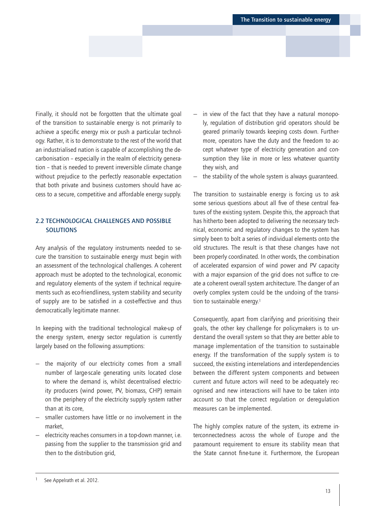<span id="page-12-0"></span>Finally, it should not be forgotten that the ultimate goal of the transition to sustainable energy is not primarily to achieve a specific energy mix or push a particular technology. Rather, it is to demonstrate to the rest of the world that an industrialised nation is capable of accomplishing the decarbonisation – especially in the realm of electricity generation – that is needed to prevent irreversible climate change without prejudice to the perfectly reasonable expectation that both private and business customers should have access to a secure, competitive and affordable energy supply.

# 2.2 TECHNOLOGICAL CHALLENGES AND POSSIBLE **SOLUTIONS**

Any analysis of the regulatory instruments needed to secure the transition to sustainable energy must begin with an assessment of the technological challenges. A coherent approach must be adopted to the technological, economic and regulatory elements of the system if technical requirements such as eco-friendliness, system stability and security of supply are to be satisfied in a cost-effective and thus democratically legitimate manner.

In keeping with the traditional technological make-up of the energy system, energy sector regulation is currently largely based on the following assumptions:

- the majority of our electricity comes from a small number of large-scale generating units located close to where the demand is, whilst decentralised electricity producers (wind power, PV, biomass, CHP) remain on the periphery of the electricity supply system rather than at its core,
- smaller customers have little or no involvement in the market,
- electricity reaches consumers in a top-down manner, i.e. passing from the supplier to the transmission grid and then to the distribution grid,
- in view of the fact that they have a natural monopoly, regulation of distribution grid operators should be geared primarily towards keeping costs down. Furthermore, operators have the duty and the freedom to accept whatever type of electricity generation and consumption they like in more or less whatever quantity they wish, and
- the stability of the whole system is always guaranteed.

The transition to sustainable energy is forcing us to ask some serious questions about all five of these central features of the existing system. Despite this, the approach that has hitherto been adopted to delivering the necessary technical, economic and regulatory changes to the system has simply been to bolt a series of individual elements onto the old structures. The result is that these changes have not been properly coordinated. In other words, the combination of accelerated expansion of wind power and PV capacity with a major expansion of the grid does not suffice to create a coherent overall system architecture. The danger of an overly complex system could be the undoing of the transition to sustainable energy.<sup>1</sup>

Consequently, apart from clarifying and prioritising their goals, the other key challenge for policymakers is to understand the overall system so that they are better able to manage implementation of the transition to sustainable energy. If the transformation of the supply system is to succeed, the existing interrelations and interdependencies between the different system components and between current and future actors will need to be adequately recognised and new interactions will have to be taken into account so that the correct regulation or deregulation measures can be implemented.

The highly complex nature of the system, its extreme interconnectedness across the whole of Europe and the paramount requirement to ensure its stability mean that the State cannot fine-tune it. Furthermore, the European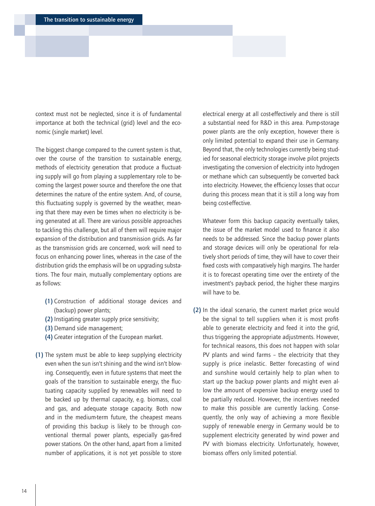context must not be neglected, since it is of fundamental importance at both the technical (grid) level and the economic (single market) level.

The biggest change compared to the current system is that, over the course of the transition to sustainable energy, methods of electricity generation that produce a fluctuating supply will go from playing a supplementary role to becoming the largest power source and therefore the one that determines the nature of the entire system. And, of course, this fluctuating supply is governed by the weather, meaning that there may even be times when no electricity is being generated at all. There are various possible approaches to tackling this challenge, but all of them will require major expansion of the distribution and transmission grids. As far as the transmission grids are concerned, work will need to focus on enhancing power lines, whereas in the case of the distribution grids the emphasis will be on upgrading substations. The four main, mutually complementary options are as follows:

- (1) Construction of additional storage devices and (backup) power plants;
- (2) Instigating greater supply price sensitivity;
- (3) Demand side management;
- (4) Greater integration of the European market.
- (1) The system must be able to keep supplying electricity even when the sun isn't shining and the wind isn't blowing. Consequently, even in future systems that meet the goals of the transition to sustainable energy, the fluctuating capacity supplied by renewables will need to be backed up by thermal capacity, e.g. biomass, coal and gas, and adequate storage capacity. Both now and in the medium-term future, the cheapest means of providing this backup is likely to be through conventional thermal power plants, especially gas-fired power stations. On the other hand, apart from a limited number of applications, it is not yet possible to store

electrical energy at all cost-effectively and there is still a substantial need for R&D in this area. Pump-storage power plants are the only exception, however there is only limited potential to expand their use in Germany. Beyond that, the only technologies currently being studied for seasonal electricity storage involve pilot projects investigating the conversion of electricity into hydrogen or methane which can subsequently be converted back into electricity. However, the efficiency losses that occur during this process mean that it is still a long way from being cost-effective.

Whatever form this backup capacity eventually takes, the issue of the market model used to finance it also needs to be addressed. Since the backup power plants and storage devices will only be operational for relatively short periods of time, they will have to cover their fixed costs with comparatively high margins. The harder it is to forecast operating time over the entirety of the investment's payback period, the higher these margins will have to be.

(2) In the ideal scenario, the current market price would be the signal to tell suppliers when it is most profitable to generate electricity and feed it into the grid, thus triggering the appropriate adjustments. However, for technical reasons, this does not happen with solar PV plants and wind farms – the electricity that they supply is price inelastic. Better forecasting of wind and sunshine would certainly help to plan when to start up the backup power plants and might even allow the amount of expensive backup energy used to be partially reduced. However, the incentives needed to make this possible are currently lacking. Consequently, the only way of achieving a more flexible supply of renewable energy in Germany would be to supplement electricity generated by wind power and PV with biomass electricity. Unfortunately, however, biomass offers only limited potential.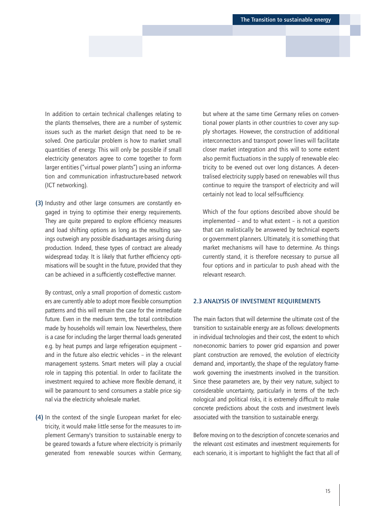<span id="page-14-0"></span>In addition to certain technical challenges relating to the plants themselves, there are a number of systemic issues such as the market design that need to be resolved. One particular problem is how to market small quantities of energy. This will only be possible if small electricity generators agree to come together to form larger entities ("virtual power plants") using an information and communication infrastructure-based network (ICT networking).

(3) Industry and other large consumers are constantly engaged in trying to optimise their energy requirements. They are quite prepared to explore efficiency measures and load shifting options as long as the resulting savings outweigh any possible disadvantages arising during production. Indeed, these types of contract are already widespread today. It is likely that further efficiency optimisations will be sought in the future, provided that they can be achieved in a sufficiently cost-effective manner.

By contrast, only a small proportion of domestic customers are currently able to adopt more flexible consumption patterns and this will remain the case for the immediate future. Even in the medium term, the total contribution made by households will remain low. Nevertheless, there is a case for including the larger thermal loads generated e.g. by heat pumps and large refrigeration equipment – and in the future also electric vehicles – in the relevant management systems. Smart meters will play a crucial role in tapping this potential. In order to facilitate the investment required to achieve more flexible demand, it will be paramount to send consumers a stable price signal via the electricity wholesale market.

(4) In the context of the single European market for electricity, it would make little sense for the measures to implement Germany's transition to sustainable energy to be geared towards a future where electricity is primarily generated from renewable sources within Germany, but where at the same time Germany relies on conventional power plants in other countries to cover any supply shortages. However, the construction of additional interconnectors and transport power lines will facilitate closer market integration and this will to some extent also permit fluctuations in the supply of renewable electricity to be evened out over long distances. A decentralised electricity supply based on renewables will thus continue to require the transport of electricity and will certainly not lead to local self-sufficiency.

Which of the four options described above should be implemented – and to what extent – is not a question that can realistically be answered by technical experts or government planners. Ultimately, it is something that market mechanisms will have to determine. As things currently stand, it is therefore necessary to pursue all four options and in particular to push ahead with the relevant research.

## 2.3 ANALYSIS OF INVESTMENT REQUIREMENTS

The main factors that will determine the ultimate cost of the transition to sustainable energy are as follows: developments in individual technologies and their cost, the extent to which non-economic barriers to power grid expansion and power plant construction are removed, the evolution of electricity demand and, importantly, the shape of the regulatory framework governing the investments involved in the transition. Since these parameters are, by their very nature, subject to considerable uncertainty, particularly in terms of the technological and political risks, it is extremely difficult to make concrete predictions about the costs and investment levels associated with the transition to sustainable energy.

Before moving on to the description of concrete scenarios and the relevant cost estimates and investment requirements for each scenario, it is important to highlight the fact that all of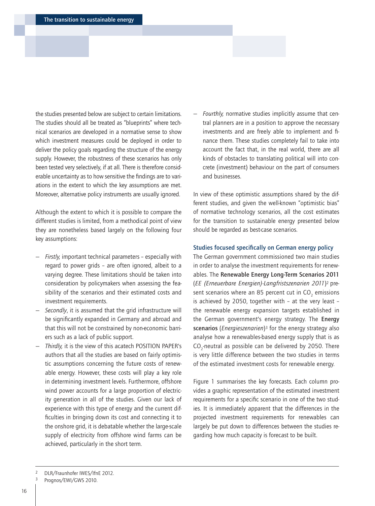the studies presented below are subject to certain limitations. The studies should all be treated as "blueprints" where technical scenarios are developed in a normative sense to show which investment measures could be deployed in order to deliver the policy goals regarding the structure of the energy supply. However, the robustness of these scenarios has only been tested very selectively, if at all. There is therefore considerable uncertainty as to how sensitive the findings are to variations in the extent to which the key assumptions are met. Moreover, alternative policy instruments are usually ignored.

Although the extent to which it is possible to compare the different studies is limited, from a methodical point of view they are nonetheless based largely on the following four key assumptions:

- *Firstly,* important technical parameters especially with regard to power grids – are often ignored, albeit to a varying degree. These limitations should be taken into consideration by policymakers when assessing the feasibility of the scenarios and their estimated costs and investment requirements.
- Secondly, it is assumed that the grid infrastructure will be significantly expanded in Germany and abroad and that this will not be constrained by non-economic barriers such as a lack of public support.
- *Thirdly,* it is the view of this acatech POSITION PAPER's authors that all the studies are based on fairly optimistic assumptions concerning the future costs of renewable energy. However, these costs will play a key role in determining investment levels. Furthermore, offshore wind power accounts for a large proportion of electricity generation in all of the studies. Given our lack of experience with this type of energy and the current difficulties in bringing down its cost and connecting it to the onshore grid, it is debatable whether the large-scale supply of electricity from offshore wind farms can be achieved, particularly in the short term.

— *Fourthly,* normative studies implicitly assume that central planners are in a position to approve the necessary investments and are freely able to implement and finance them. These studies completely fail to take into account the fact that, in the real world, there are all kinds of obstacles to translating political will into concrete (investment) behaviour on the part of consumers and businesses.

In view of these optimistic assumptions shared by the different studies, and given the well-known "optimistic bias" of normative technology scenarios, all the cost estimates for the transition to sustainable energy presented below should be regarded as best-case scenarios.

## Studies focused specifically on German energy policy

The German government commissioned two main studies in order to analyse the investment requirements for renewables. The Renewable Energy Long-Term Scenarios 2011 (*EE (Erneuerbare Energien)-Langfristszenarien 2011*)2 present scenarios where an 85 percent cut in  $CO_2$  emissions is achieved by 2050, together with – at the very least – the renewable energy expansion targets established in the German government's energy strategy. The Energy scenarios (*Energieszenarien*)<sup>3</sup> for the energy strategy also analyse how a renewables-based energy supply that is as  $CO_2$ -neutral as possible can be delivered by 2050. There is very little difference between the two studies in terms of the estimated investment costs for renewable energy.

Figure 1 summarises the key forecasts. Each column provides a graphic representation of the estimated investment requirements for a specific scenario in one of the two studies. It is immediately apparent that the differences in the projected investment requirements for renewables can largely be put down to differences between the studies regarding how much capacity is forecast to be built.

<sup>2</sup> DLR/Fraunhofer IWES/IfnE 2012.

Prognos/EWI/GWS 2010.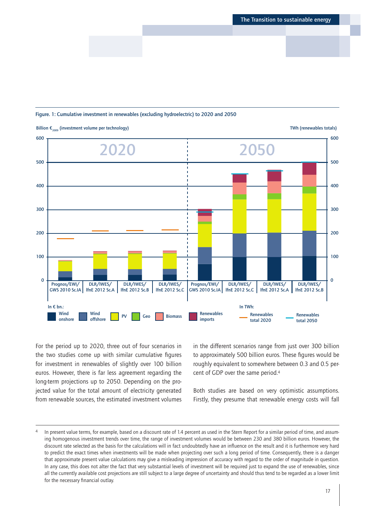### Figure. 1: Cumulative investment in renewables (excluding hydroelectric) to 2020 and 2050



For the period up to 2020, three out of four scenarios in the two studies come up with similar cumulative figures for investment in renewables of slightly over 100 billion euros. However, there is far less agreement regarding the long-term projections up to 2050. Depending on the projected value for the total amount of electricity generated from renewable sources, the estimated investment volumes in the different scenarios range from just over 300 billion to approximately 500 billion euros. These figures would be roughly equivalent to somewhere between 0.3 and 0.5 percent of GDP over the same period.4

Both studies are based on very optimistic assumptions. Firstly, they presume that renewable energy costs will fall

In present value terms, for example, based on a discount rate of 1.4 percent as used in the Stern Report for a similar period of time, and assuming homogenous investment trends over time, the range of investment volumes would be between 230 and 380 billion euros. However, the discount rate selected as the basis for the calculations will in fact undoubtedly have an influence on the result and it is furthermore very hard to predict the exact times when investments will be made when projecting over such a long period of time. Consequently, there is a danger that approximate present value calculations may give a misleading impression of accuracy with regard to the order of magnitude in question. In any case, this does not alter the fact that very substantial levels of investment will be required just to expand the use of renewables, since all the currently available cost projections are still subject to a large degree of uncertainty and should thus tend to be regarded as a lower limit for the necessary financial outlay.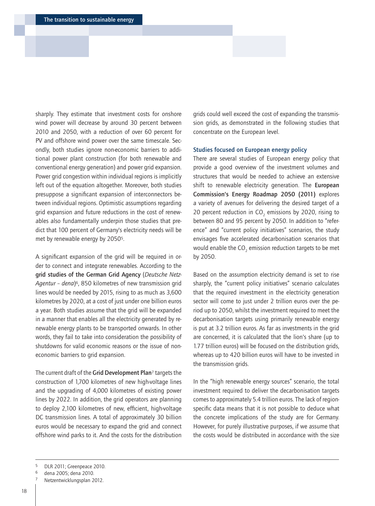sharply. They estimate that investment costs for onshore wind power will decrease by around 30 percent between 2010 and 2050, with a reduction of over 60 percent for PV and offshore wind power over the same timescale. Secondly, both studies ignore non-economic barriers to additional power plant construction (for both renewable and conventional energy generation) and power grid expansion. Power grid congestion within individual regions is implicitly left out of the equation altogether. Moreover, both studies presuppose a significant expansion of interconnectors between individual regions. Optimistic assumptions regarding grid expansion and future reductions in the cost of renewables also fundamentally underpin those studies that predict that 100 percent of Germany's electricity needs will be met by renewable energy by 20505.

A significant expansion of the grid will be required in order to connect and integrate renewables. According to the grid studies of the German Grid Agency (*Deutsche Netz-Agentur – dena*)6, 850 kilometres of new transmission grid lines would be needed by 2015, rising to as much as 3,600 kilometres by 2020, at a cost of just under one billion euros a year. Both studies assume that the grid will be expanded in a manner that enables all the electricity generated by renewable energy plants to be transported onwards. In other words, they fail to take into consideration the possibility of shutdowns for valid economic reasons or the issue of noneconomic barriers to grid expansion.

The current draft of the Grid Development Plan<sup>7</sup> targets the construction of 1,700 kilometres of new high-voltage lines and the upgrading of 4,000 kilometres of existing power lines by 2022. In addition, the grid operators are planning to deploy 2,100 kilometres of new, efficient, high-voltage DC transmission lines. A total of approximately 30 billion euros would be necessary to expand the grid and connect offshore wind parks to it. And the costs for the distribution grids could well exceed the cost of expanding the transmission grids, as demonstrated in the following studies that concentrate on the European level.

#### Studies focused on European energy policy

There are several studies of European energy policy that provide a good overview of the investment volumes and structures that would be needed to achieve an extensive shift to renewable electricity generation. The European Commission's Energy Roadmap 2050 (2011) explores a variety of avenues for delivering the desired target of a 20 percent reduction in  $CO<sub>2</sub>$  emissions by 2020, rising to between 80 and 95 percent by 2050. In addition to "reference" and "current policy initiatives" scenarios, the study envisages five accelerated decarbonisation scenarios that would enable the  $CO_2$  emission reduction targets to be met by 2050.

Based on the assumption electricity demand is set to rise sharply, the "current policy initiatives" scenario calculates that the required investment in the electricity generation sector will come to just under 2 trillion euros over the period up to 2050, whilst the investment required to meet the decarbonisation targets using primarily renewable energy is put at 3.2 trillion euros. As far as investments in the grid are concerned, it is calculated that the lion's share (up to 1.77 trillion euros) will be focused on the distribution grids, whereas up to 420 billion euros will have to be invested in the transmission grids.

In the "high renewable energy sources" scenario, the total investment required to deliver the decarbonisation targets comes to approximately 5.4 trillion euros. The lack of regionspecific data means that it is not possible to deduce what the concrete implications of the study are for Germany. However, for purely illustrative purposes, if we assume that the costs would be distributed in accordance with the size

<sup>5</sup> DLR 2011; Greenpeace 2010.

<sup>6</sup> dena 2005; dena 2010.

Netzentwicklungsplan 2012.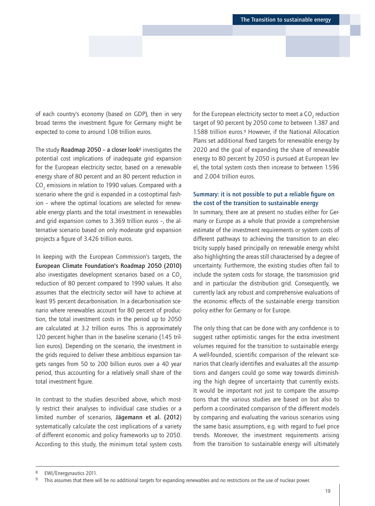of each country's economy (based on GDP), then in very broad terms the investment figure for Germany might be expected to come to around 1.08 trillion euros.

The study Roadmap 2050 – a closer look<sup>8</sup> investigates the potential cost implications of inadequate grid expansion for the European electricity sector, based on a renewable energy share of 80 percent and an 80 percent reduction in  $\mathrm{CO}_2$  emissions in relation to 1990 values. Compared with a scenario where the grid is expanded in a cost-optimal fashion – where the optimal locations are selected for renewable energy plants and the total investment in renewables and grid expansion comes to 3.369 trillion euros –, the alternative scenario based on only moderate grid expansion projects a figure of 3.426 trillion euros.

In keeping with the European Commission's targets, the European Climate Foundation's Roadmap 2050 (2010) also investigates development scenarios based on a CO<sub>2</sub> reduction of 80 percent compared to 1990 values. It also assumes that the electricity sector will have to achieve at least 95 percent decarbonisation. In a decarbonisation scenario where renewables account for 80 percent of production, the total investment costs in the period up to 2050 are calculated at 3.2 trillion euros. This is approximately 120 percent higher than in the baseline scenario (1.45 trillion euros). Depending on the scenario, the investment in the grids required to deliver these ambitious expansion targets ranges from 50 to 200 billion euros over a 40 year period, thus accounting for a relatively small share of the total investment figure.

In contrast to the studies described above, which mostly restrict their analyses to individual case studies or a limited number of scenarios, Jägemann et al. (2012) systematically calculate the cost implications of a variety of different economic and policy frameworks up to 2050. According to this study, the minimum total system costs

for the European electricity sector to meet a CO<sub>2</sub> reduction target of 90 percent by 2050 come to between 1.387 and 1.588 trillion euros.9 However, if the National Allocation Plans set additional fixed targets for renewable energy by 2020 and the goal of expanding the share of renewable energy to 80 percent by 2050 is pursued at European level, the total system costs then increase to between 1.596 and 2.004 trillion euros.

# Summary: it is not possible to put a reliable figure on the cost of the transition to sustainable energy

In summary, there are at present no studies either for Germany or Europe as a whole that provide a comprehensive estimate of the investment requirements or system costs of different pathways to achieving the transition to an electricity supply based principally on renewable energy whilst also highlighting the areas still characterised by a degree of uncertainty. Furthermore, the existing studies often fail to include the system costs for storage, the transmission grid and in particular the distribution grid. Consequently, we currently lack any robust and comprehensive evaluations of the economic effects of the sustainable energy transition policy either for Germany or for Europe.

The only thing that can be done with any confidence is to suggest rather optimistic ranges for the extra investment volumes required for the transition to sustainable energy. A well-founded, scientific comparison of the relevant scenarios that clearly identifies and evaluates all the assumptions and dangers could go some way towards diminishing the high degree of uncertainty that currently exists. It would be important not just to compare the assumptions that the various studies are based on but also to perform a coordinated comparison of the different models by comparing and evaluating the various scenarios using the same basic assumptions, e.g. with regard to fuel price trends. Moreover, the investment requirements arising from the transition to sustainable energy will ultimately

<sup>&</sup>lt;sup>8</sup> EWI/Energynautics 2011.<br><sup>9</sup> This assumes that there v

This assumes that there will be no additional targets for expanding renewables and no restrictions on the use of nuclear power.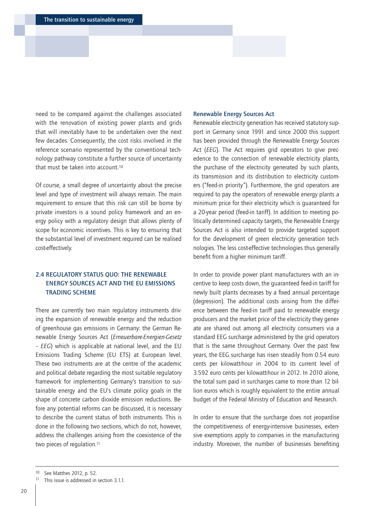<span id="page-19-0"></span>need to be compared against the challenges associated with the renovation of existing power plants and grids that will inevitably have to be undertaken over the next few decades. Consequently, the cost risks involved in the reference scenario represented by the conventional technology pathway constitute a further source of uncertainty that must be taken into account.10

Of course, a small degree of uncertainty about the precise level and type of investment will always remain. The main requirement to ensure that this risk can still be borne by private investors is a sound policy framework and an energy policy with a regulatory design that allows plenty of scope for economic incentives. This is key to ensuring that the substantial level of investment required can be realised cost-effectively.

# 2.4 REGULATORY STATUS QUO: THE RENEWABLE ENERGY SOURCES ACT AND THE EU EMISSIONS TRADING SCHEME

There are currently two main regulatory instruments driving the expansion of renewable energy and the reduction of greenhouse gas emissions in Germany: the German Renewable Energy Sources Act (*Erneuerbare-Energien-Gesetz – EEG*) which is applicable at national level, and the EU Emissions Trading Scheme (EU ETS) at European level. These two instruments are at the centre of the academic and political debate regarding the most suitable regulatory framework for implementing Germany's transition to sustainable energy and the EU's climate policy goals in the shape of concrete carbon dioxide emission reductions. Before any potential reforms can be discussed, it is necessary to describe the current status of both instruments. This is done in the following two sections, which do not, however, address the challenges arising from the coexistence of the two pieces of regulation.<sup>11</sup>

#### Renewable Energy Sources Act

Renewable electricity generation has received statutory support in Germany since 1991 and since 2000 this support has been provided through the Renewable Energy Sources Act (*EEG*). The Act requires grid operators to give precedence to the connection of renewable electricity plants, the purchase of the electricity generated by such plants, its transmission and its distribution to electricity customers ("feed-in priority"). Furthermore, the grid operators are required to pay the operators of renewable energy plants a minimum price for their electricity which is guaranteed for a 20-year period (feed-in tariff). In addition to meeting politically determined capacity targets, the Renewable Energy Sources Act is also intended to provide targeted support for the development of green electricity generation technologies. The less cost-effective technologies thus generally benefit from a higher minimum tariff.

In order to provide power plant manufacturers with an incentive to keep costs down, the guaranteed feed-in tariff for newly built plants decreases by a fixed annual percentage (degression). The additional costs arising from the difference between the feed-in tariff paid to renewable energy producers and the market price of the electricity they generate are shared out among all electricity consumers via a standard EEG surcharge administered by the grid operators that is the same throughout Germany. Over the past few years, the EEG surcharge has risen steadily from 0.54 euro cents per kilowatt-hour in 2004 to its current level of 3.592 euro cents per kilowatt-hour in 2012. In 2010 alone, the total sum paid in surcharges came to more than 12 billion euros which is roughly equivalent to the entire annual budget of the Federal Ministry of Education and Research.

In order to ensure that the surcharge does not jeopardise the competitiveness of energy-intensive businesses, extensive exemptions apply to companies in the manufacturing industry. Moreover, the number of businesses benefiting

<sup>10</sup> See Matthes 2012, p. 52.

This issue is addressed in section 3.1.1.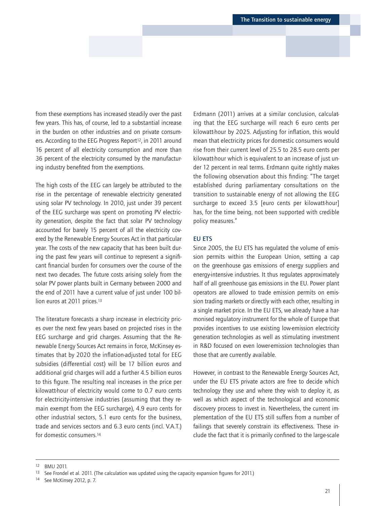from these exemptions has increased steadily over the past few years. This has, of course, led to a substantial increase in the burden on other industries and on private consumers. According to the EEG Progress Report<sup>12</sup>, in 2011 around 16 percent of all electricity consumption and more than 36 percent of the electricity consumed by the manufacturing industry benefited from the exemptions.

The high costs of the EEG can largely be attributed to the rise in the percentage of renewable electricity generated using solar PV technology. In 2010, just under 39 percent of the EEG surcharge was spent on promoting PV electricity generation, despite the fact that solar PV technology accounted for barely 15 percent of all the electricity covered by the Renewable Energy Sources Act in that particular year. The costs of the new capacity that has been built during the past few years will continue to represent a significant financial burden for consumers over the course of the next two decades. The future costs arising solely from the solar PV power plants built in Germany between 2000 and the end of 2011 have a current value of just under 100 billion euros at 2011 prices.<sup>13</sup>

The literature forecasts a sharp increase in electricity prices over the next few years based on projected rises in the EEG surcharge and grid charges. Assuming that the Renewable Energy Sources Act remains in force, McKinsey estimates that by 2020 the inflation-adjusted total for EEG subsidies (differential cost) will be 17 billion euros and additional grid charges will add a further 4.5 billion euros to this figure. The resulting real increases in the price per kilowatt-hour of electricity would come to 0.7 euro cents for electricity-intensive industries (assuming that they remain exempt from the EEG surcharge), 4.9 euro cents for other industrial sectors, 5.1 euro cents for the business, trade and services sectors and 6.3 euro cents (incl. V.A.T.) for domestic consumers.14

Erdmann (2011) arrives at a similar conclusion, calculating that the EEG surcharge will reach 6 euro cents per kilowatt-hour by 2025. Adjusting for inflation, this would mean that electricity prices for domestic consumers would rise from their current level of 25.5 to 28.5 euro cents per kilowatt-hour which is equivalent to an increase of just under 12 percent in real terms. Erdmann quite rightly makes the following observation about this finding: "The target established during parliamentary consultations on the transition to sustainable energy of not allowing the EEG surcharge to exceed 3.5 [euro cents per kilowatt-hour] has, for the time being, not been supported with credible policy measures."

## EU ETS

Since 2005, the EU ETS has regulated the volume of emission permits within the European Union, setting a cap on the greenhouse gas emissions of energy suppliers and energy-intensive industries. It thus regulates approximately half of all greenhouse gas emissions in the EU. Power plant operators are allowed to trade emission permits on emission trading markets or directly with each other, resulting in a single market price. In the EU ETS, we already have a harmonised regulatory instrument for the whole of Europe that provides incentives to use existing low-emission electricity generation technologies as well as stimulating investment in R&D focused on even lower-emission technologies than those that are currently available.

However, in contrast to the Renewable Energy Sources Act, under the EU ETS private actors are free to decide which technology they use and where they wish to deploy it, as well as which aspect of the technological and economic discovery process to invest in. Nevertheless, the current implementation of the EU ETS still suffers from a number of failings that severely constrain its effectiveness. These include the fact that it is primarily confined to the large-scale

14 See McKinsey 2012, p. 7.

<sup>12</sup> BMU 2011.

<sup>13</sup> See Frondel et al. 2011. (The calculation was updated using the capacity expansion figures for 2011.)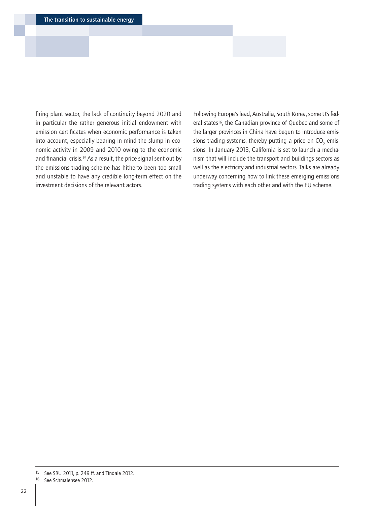firing plant sector, the lack of continuity beyond 2020 and in particular the rather generous initial endowment with emission certificates when economic performance is taken into account, especially bearing in mind the slump in economic activity in 2009 and 2010 owing to the economic and financial crisis.15 As a result, the price signal sent out by the emissions trading scheme has hitherto been too small and unstable to have any credible long-term effect on the investment decisions of the relevant actors.

Following Europe's lead, Australia, South Korea, some US federal states<sup>16</sup>, the Canadian province of Quebec and some of the larger provinces in China have begun to introduce emissions trading systems, thereby putting a price on  $CO_2$  emissions. In January 2013, California is set to launch a mechanism that will include the transport and buildings sectors as well as the electricity and industrial sectors. Talks are already underway concerning how to link these emerging emissions trading systems with each other and with the EU scheme.

<sup>15</sup> See SRU 2011, p. 249 ff. and Tindale 2012.

<sup>16</sup> See Schmalensee 2012.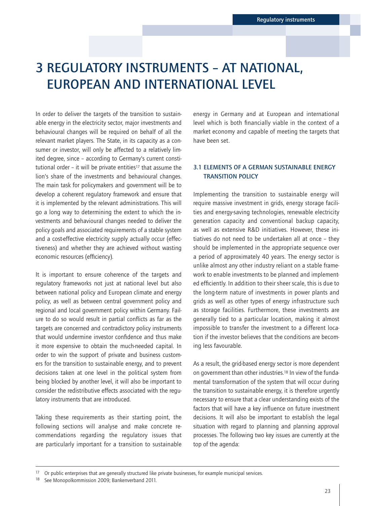# <span id="page-22-0"></span>3 REGULATORY INSTRUMENTS – AT NATIONAL, EUROPEAN AND INTERNATIONAL LEVEL

In order to deliver the targets of the transition to sustainable energy in the electricity sector, major investments and behavioural changes will be required on behalf of all the relevant market players. The State, in its capacity as a consumer or investor, will only be affected to a relatively limited degree, since – according to Germany's current constitutional order – it will be private entities17 that assume the lion's share of the investments and behavioural changes. The main task for policymakers and government will be to develop a coherent regulatory framework and ensure that it is implemented by the relevant administrations. This will go a long way to determining the extent to which the investments and behavioural changes needed to deliver the policy goals and associated requirements of a stable system and a cost-effective electricity supply actually occur (effectiveness) and whether they are achieved without wasting economic resources (efficiency).

It is important to ensure coherence of the targets and regulatory frameworks not just at national level but also between national policy and European climate and energy policy, as well as between central government policy and regional and local government policy within Germany. Failure to do so would result in partial conflicts as far as the targets are concerned and contradictory policy instruments that would undermine investor confidence and thus make it more expensive to obtain the much-needed capital. In order to win the support of private and business customers for the transition to sustainable energy, and to prevent decisions taken at one level in the political system from being blocked by another level, it will also be important to consider the redistributive effects associated with the regulatory instruments that are introduced.

Taking these requirements as their starting point, the following sections will analyse and make concrete recommendations regarding the regulatory issues that are particularly important for a transition to sustainable

energy in Germany and at European and international level which is both financially viable in the context of a market economy and capable of meeting the targets that have been set.

# 3.1 ELEMENTS OF A GERMAN SUSTAINABLE ENERGY TRANSITION POLICY

Implementing the transition to sustainable energy will require massive investment in grids, energy storage facilities and energy-saving technologies, renewable electricity generation capacity and conventional backup capacity, as well as extensive R&D initiatives. However, these initiatives do not need to be undertaken all at once – they should be implemented in the appropriate sequence over a period of approximately 40 years. The energy sector is unlike almost any other industry reliant on a stable framework to enable investments to be planned and implemented efficiently. In addition to their sheer scale, this is due to the long-term nature of investments in power plants and grids as well as other types of energy infrastructure such as storage facilities. Furthermore, these investments are generally tied to a particular location, making it almost impossible to transfer the investment to a different location if the investor believes that the conditions are becoming less favourable.

As a result, the grid-based energy sector is more dependent on government than other industries.18 In view of the fundamental transformation of the system that will occur during the transition to sustainable energy, it is therefore urgently necessary to ensure that a clear understanding exists of the factors that will have a key influence on future investment decisions. It will also be important to establish the legal situation with regard to planning and planning approval processes. The following two key issues are currently at the top of the agenda:

<sup>17</sup> Or public enterprises that are generally structured like private businesses, for example municipal services.

<sup>18</sup> See Monopolkommission 2009; Bankenverband 2011.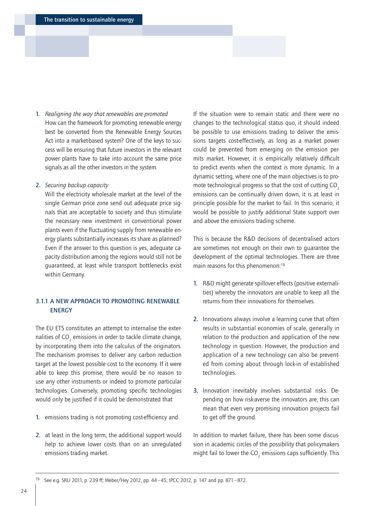### <span id="page-23-0"></span>1. *Realigning the way that renewables are promoted*

How can the framework for promoting renewable energy best be converted from the Renewable Energy Sources Act into a market-based system? One of the keys to success will be ensuring that future investors in the relevant power plants have to take into account the same price signals as all the other investors in the system.

2. *Securing backup capacity*

Will the electricity wholesale market at the level of the single German price zone send out adequate price signals that are acceptable to society and thus stimulate the necessary new investment in conventional power plants even if the fluctuating supply from renewable energy plants substantially increases its share as planned? Even if the answer to this question is yes, adequate capacity distribution among the regions would still not be guaranteed, at least while transport bottlenecks exist within Germany.

# 3.1.1 A NEW APPROACH TO PROMOTING RENEWABLE ENERGY

The EU ETS constitutes an attempt to internalise the externalities of CO $_{_2}$  emissions in order to tackle climate change, by incorporating them into the calculus of the originators. The mechanism promises to deliver any carbon reduction target at the lowest possible cost to the economy. If it were able to keep this promise, there would be no reason to use any other instruments or indeed to promote particular technologies. Conversely, promoting specific technologies would only be justified if it could be demonstrated that

- 1. emissions trading is not promoting cost-efficiency and
- 2. at least in the long term, the additional support would help to achieve lower costs than on an unregulated emissions trading market.

If the situation were to remain static and there were no changes to the technological status quo, it should indeed be possible to use emissions trading to deliver the emissions targets cost-effectively, as long as a market power could be prevented from emerging on the emission permits market. However, it is empirically relatively difficult to predict events when the context is more dynamic. In a dynamic setting, where one of the main objectives is to promote technological progress so that the cost of cutting CO<sub>2</sub> emissions can be continually driven down, it is at least in principle possible for the market to fail. In this scenario, it would be possible to justify additional State support over and above the emissions trading scheme.

This is because the R&D decisions of decentralised actors are sometimes not enough on their own to guarantee the development of the optimal technologies. There are three main reasons for this phenomenon:19

- 1. R&D might generate spillover effects (positive externalities) whereby the innovators are unable to keep all the returns from their innovations for themselves.
- 2. Innovations always involve a learning curve that often results in substantial economies of scale, generally in relation to the production and application of the new technology in question. However, the production and application of a new technology can also be prevented from coming about through lock-in of established technologies.
- 3. Innovation inevitably involves substantial risks. Depending on how risk-averse the innovators are, this can mean that even very promising innovation projects fail to get off the ground.

In addition to market failure, there has been some discussion in academic circles of the possibility that policymakers might fail to lower the  $CO<sub>2</sub>$  emissions caps sufficiently. This

<sup>19</sup> See e.g. SRU 2011, p. 239 ff; Weber/Hey 2012, pp. 44–45; IPCC 2012, p. 147 and pp. 871–872.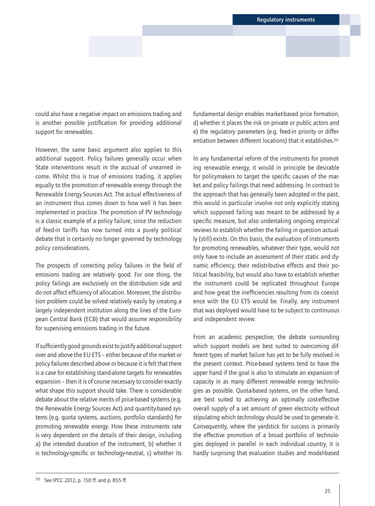could also have a negative impact on emissions trading and is another possible justification for providing additional support for renewables.

However, the same basic argument also applies to this additional support. Policy failures generally occur when State interventions result in the accrual of unearned income. Whilst this is true of emissions trading, it applies equally to the promotion of renewable energy through the Renewable Energy Sources Act. The actual effectiveness of an instrument thus comes down to how well it has been implemented in practice. The promotion of PV technology is a classic example of a policy failure, since the reduction of feed-in tariffs has now turned into a purely political debate that is certainly no longer governed by technology policy considerations.

The prospects of correcting policy failures in the field of emissions trading are relatively good. For one thing, the policy failings are exclusively on the distribution side and do not affect efficiency of allocation. Moreover, the distribution problem could be solved relatively easily by creating a largely independent institution along the lines of the European Central Bank (ECB) that would assume responsibility for supervising emissions trading in the future.

If sufficiently good grounds exist to justify additional support over and above the EU ETS – either because of the market or policy failures described above or because it is felt that there is a case for establishing stand-alone targets for renewables expansion – then it is of course necessary to consider exactly what shape this support should take. There is considerable debate about the relative merits of price-based systems (e.g. the Renewable Energy Sources Act) and quantity-based systems (e.g. quota systems, auctions, portfolio standards) for promoting renewable energy. How these instruments rate is very dependent on the details of their design, including a) the intended duration of the instrument, b) whether it is technology-specific or technology-neutral, c) whether its

fundamental design enables market-based price formation, d) whether it places the risk on private or public actors and e) the regulatory parameters (e.g. feed-in priority or differentiation between different locations) that it establishes.20

In any fundamental reform of the instruments for promoting renewable energy, it would in principle be desirable for policymakers to target the specific causes of the market and policy failings that need addressing. In contrast to the approach that has generally been adopted in the past, this would in particular involve not only explicitly stating which supposed failing was meant to be addressed by a specific measure, but also undertaking ongoing empirical reviews to establish whether the failing in question actually (still) exists. On this basis, the evaluation of instruments for promoting renewables, whatever their type, would not only have to include an assessment of their static and dynamic efficiency, their redistributive effects and their political feasibility, but would also have to establish whether the instrument could be replicated throughout Europe and how great the inefficiencies resulting from its coexistence with the EU ETS would be. Finally, any instrument that was deployed would have to be subject to continuous and independent review.

From an academic perspective, the debate surrounding which support models are best suited to overcoming different types of market failure has yet to be fully resolved in the present context. Price-based systems tend to have the upper hand if the goal is also to stimulate an expansion of capacity in as many different renewable energy technologies as possible. Quota-based systems, on the other hand, are best suited to achieving an optimally cost-effective overall supply of a set amount of green electricity without stipulating which technology should be used to generate it. Consequently, where the yardstick for success is primarily the effective promotion of a broad portfolio of technologies deployed in parallel in each individual country, it is hardly surprising that evaluation studies and model-based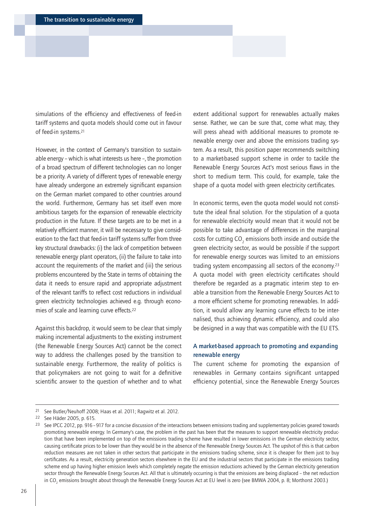simulations of the efficiency and effectiveness of feed-in tariff systems and quota models should come out in favour of feed-in systems.21

However, in the context of Germany's transition to sustainable energy – which is what interests us here –, the promotion of a broad spectrum of different technologies can no longer be a priority. A variety of different types of renewable energy have already undergone an extremely significant expansion on the German market compared to other countries around the world. Furthermore, Germany has set itself even more ambitious targets for the expansion of renewable electricity production in the future. If these targets are to be met in a relatively efficient manner, it will be necessary to give consideration to the fact that feed-in tariff systems suffer from three key structural drawbacks: (i) the lack of competition between renewable energy plant operators, (ii) the failure to take into account the requirements of the market and (iii) the serious problems encountered by the State in terms of obtaining the data it needs to ensure rapid and appropriate adjustment of the relevant tariffs to reflect cost reductions in individual green electricity technologies achieved e.g. through economies of scale and learning curve effects.22

Against this backdrop, it would seem to be clear that simply making incremental adjustments to the existing instrument (the Renewable Energy Sources Act) cannot be the correct way to address the challenges posed by the transition to sustainable energy. Furthermore, the reality of politics is that policymakers are not going to wait for a definitive scientific answer to the question of whether and to what

extent additional support for renewables actually makes sense. Rather, we can be sure that, come what may, they will press ahead with additional measures to promote renewable energy over and above the emissions trading system. As a result, this position paper recommends switching to a market-based support scheme in order to tackle the Renewable Energy Sources Act's most serious flaws in the short to medium term. This could, for example, take the shape of a quota model with green electricity certificates.

In economic terms, even the quota model would not constitute the ideal final solution. For the stipulation of a quota for renewable electricity would mean that it would not be possible to take advantage of differences in the marginal costs for cutting  $CO_2$  emissions both inside and outside the green electricity sector, as would be possible if the support for renewable energy sources was limited to an emissions trading system encompassing all sectors of the economy.23 A quota model with green electricity certificates should therefore be regarded as a pragmatic interim step to enable a transition from the Renewable Energy Sources Act to a more efficient scheme for promoting renewables. In addition, it would allow any learning curve effects to be internalised, thus achieving dynamic efficiency, and could also be designed in a way that was compatible with the EU ETS.

# A market-based approach to promoting and expanding renewable energy

The current scheme for promoting the expansion of renewables in Germany contains significant untapped efficiency potential, since the Renewable Energy Sources

<sup>21</sup> See Butler/Neuhoff 2008; Haas et al. 2011; Ragwitz et al. 2012.

<sup>22</sup> See Häder 2005, p. 615.

<sup>&</sup>lt;sup>23</sup> See IPCC 2012, pp. 916 - 917 for a concise discussion of the interactions between emissions trading and supplementary policies geared towards promoting renewable energy. In Germany's case, the problem in the past has been that the measures to support renewable electricity production that have been implemented on top of the emissions trading scheme have resulted in lower emissions in the German electricity sector, causing certificate prices to be lower than they would be in the absence of the Renewable Energy Sources Act. The upshot of this is that carbon reduction measures are not taken in other sectors that participate in the emissions trading scheme, since it is cheaper for them just to buy certificates. As a result, electricity generation sectors elsewhere in the EU and the industrial sectors that participate in the emissions trading scheme end up having higher emission levels which completely negate the emission reductions achieved by the German electricity generation sector through the Renewable Energy Sources Act. All that is ultimately occurring is that the emissions are being displaced – the net reduction in CO $_2$  emissions brought about through the Renewable Energy Sources Act at EU level is zero (see BMWA 2004, p. 8; Morthorst 2003.)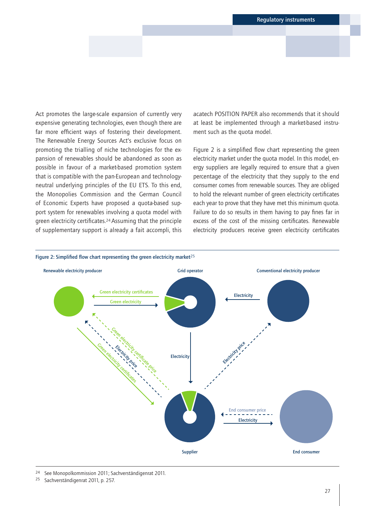Act promotes the large-scale expansion of currently very expensive generating technologies, even though there are far more efficient ways of fostering their development. The Renewable Energy Sources Act's exclusive focus on promoting the trialling of niche technologies for the expansion of renewables should be abandoned as soon as possible in favour of a market-based promotion system that is compatible with the pan-European and technologyneutral underlying principles of the EU ETS. To this end, the Monopolies Commission and the German Council of Economic Experts have proposed a quota-based support system for renewables involving a quota model with green electricity certificates.24 Assuming that the principle of supplementary support is already a fait accompli, this

acatech POSITION PAPER also recommends that it should at least be implemented through a market-based instrument such as the quota model.

Figure 2 is a simplified flow chart representing the green electricity market under the quota model. In this model, energy suppliers are legally required to ensure that a given percentage of the electricity that they supply to the end consumer comes from renewable sources. They are obliged to hold the relevant number of green electricity certificates each year to prove that they have met this minimum quota. Failure to do so results in them having to pay fines far in excess of the cost of the missing certificates. Renewable electricity producers receive green electricity certificates



24 See Monopolkommission 2011; Sachverständigenrat 2011.

25 Sachverständigenrat 2011, p. 257.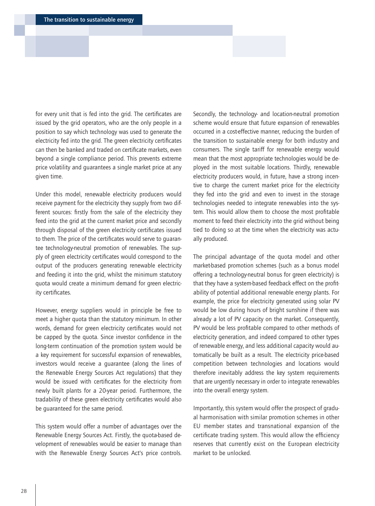for every unit that is fed into the grid. The certificates are issued by the grid operators, who are the only people in a position to say which technology was used to generate the electricity fed into the grid. The green electricity certificates can then be banked and traded on certificate markets, even beyond a single compliance period. This prevents extreme price volatility and guarantees a single market price at any given time.

Under this model, renewable electricity producers would receive payment for the electricity they supply from two different sources: firstly from the sale of the electricity they feed into the grid at the current market price and secondly through disposal of the green electricity certificates issued to them. The price of the certificates would serve to guarantee technology-neutral promotion of renewables. The supply of green electricity certificates would correspond to the output of the producers generating renewable electricity and feeding it into the grid, whilst the minimum statutory quota would create a minimum demand for green electricity certificates.

However, energy suppliers would in principle be free to meet a higher quota than the statutory minimum. In other words, demand for green electricity certificates would not be capped by the quota. Since investor confidence in the long-term continuation of the promotion system would be a key requirement for successful expansion of renewables, investors would receive a guarantee (along the lines of the Renewable Energy Sources Act regulations) that they would be issued with certificates for the electricity from newly built plants for a 20-year period. Furthermore, the tradability of these green electricity certificates would also be guaranteed for the same period.

This system would offer a number of advantages over the Renewable Energy Sources Act. Firstly, the quota-based development of renewables would be easier to manage than with the Renewable Energy Sources Act's price controls.

Secondly, the technology- and location-neutral promotion scheme would ensure that future expansion of renewables occurred in a cost-effective manner, reducing the burden of the transition to sustainable energy for both industry and consumers. The single tariff for renewable energy would mean that the most appropriate technologies would be deployed in the most suitable locations. Thirdly, renewable electricity producers would, in future, have a strong incentive to charge the current market price for the electricity they fed into the grid and even to invest in the storage technologies needed to integrate renewables into the system. This would allow them to choose the most profitable moment to feed their electricity into the grid without being tied to doing so at the time when the electricity was actually produced.

The principal advantage of the quota model and other market-based promotion schemes (such as a bonus model offering a technology-neutral bonus for green electricity) is that they have a system-based feedback effect on the profitability of potential additional renewable energy plants. For example, the price for electricity generated using solar PV would be low during hours of bright sunshine if there was already a lot of PV capacity on the market. Consequently, PV would be less profitable compared to other methods of electricity generation, and indeed compared to other types of renewable energy, and less additional capacity would automatically be built as a result. The electricity price-based competition between technologies and locations would therefore inevitably address the key system requirements that are urgently necessary in order to integrate renewables into the overall energy system.

Importantly, this system would offer the prospect of gradual harmonisation with similar promotion schemes in other EU member states and transnational expansion of the certificate trading system. This would allow the efficiency reserves that currently exist on the European electricity market to be unlocked.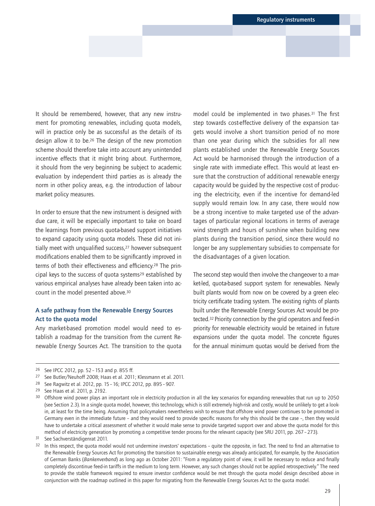It should be remembered, however, that any new instrument for promoting renewables, including quota models, will in practice only be as successful as the details of its design allow it to be.26 The design of the new promotion scheme should therefore take into account any unintended incentive effects that it might bring about. Furthermore, it should from the very beginning be subject to academic evaluation by independent third parties as is already the norm in other policy areas, e.g. the introduction of labour market policy measures.

In order to ensure that the new instrument is designed with due care, it will be especially important to take on board the learnings from previous quota-based support initiatives to expand capacity using quota models. These did not initially meet with unqualified success,27 however subsequent modifications enabled them to be significantly improved in terms of both their effectiveness and efficiency.28 The principal keys to the success of quota systems29 established by various empirical analyses have already been taken into account in the model presented above.30

# A safe pathway from the Renewable Energy Sources Act to the quota model

Any market-based promotion model would need to establish a roadmap for the transition from the current Renewable Energy Sources Act. The transition to the quota The second step would then involve the changeover to a market-led, quota-based support system for renewables. Newly built plants would from now on be covered by a green electricity certificate trading system. The existing rights of plants built under the Renewable Energy Sources Act would be protected.32 Priority connection by the grid operators and feed-in priority for renewable electricity would be retained in future expansions under the quota model. The concrete figures for the annual minimum quotas would be derived from the

model could be implemented in two phases.31 The first step towards cost-effective delivery of the expansion targets would involve a short transition period of no more than one year during which the subsidies for all new plants established under the Renewable Energy Sources Act would be harmonised through the introduction of a single rate with immediate effect. This would at least ensure that the construction of additional renewable energy capacity would be guided by the respective cost of producing the electricity, even if the incentive for demand-led supply would remain low. In any case, there would now be a strong incentive to make targeted use of the advantages of particular regional locations in terms of average wind strength and hours of sunshine when building new plants during the transition period, since there would no longer be any supplementary subsidies to compensate for the disadvantages of a given location.

<sup>26</sup> See IPCC 2012, pp. 52–153 and p. 855 ff.

<sup>27</sup> See Butler/Neuhoff 2008; Haas et al. 2011; Klessmann et al. 2011.

<sup>28</sup> See Ragwitz et al. 2012, pp. 15–16; IPCC 2012, pp. 895–907.

<sup>29</sup> See Haas et al. 2011, p. 2192.

<sup>&</sup>lt;sup>30</sup> Offshore wind power plays an important role in electricity production in all the key scenarios for expanding renewables that run up to 2050 (see Section 2.3). In a single quota model, however, this technology, which is still extremely high-risk and costly, would be unlikely to get a lookin, at least for the time being. Assuming that policymakers nevertheless wish to ensure that offshore wind power continues to be promoted in Germany even in the immediate future – and they would need to provide specific reasons for why this should be the case –, then they would have to undertake a critical assessment of whether it would make sense to provide targeted support over and above the quota model for this method of electricity generation by promoting a competitive tender process for the relevant capacity (see SRU 2011, pp. 267–273).

<sup>31</sup> See Sachverständigenrat 2011.

In this respect, the quota model would not undermine investors' expectations - quite the opposite, in fact. The need to find an alternative to the Renewable Energy Sources Act for promoting the transition to sustainable energy was already anticipated, for example, by the Association of German Banks (*Bankenverband*) as long ago as October 2011: "From a regulatory point of view, it will be necessary to reduce and finally completely discontinue feed-in tariffs in the medium to long term. However, any such changes should not be applied retrospectively." The need to provide the stable framework required to ensure investor confidence would be met through the quota model design described above in conjunction with the roadmap outlined in this paper for migrating from the Renewable Energy Sources Act to the quota model.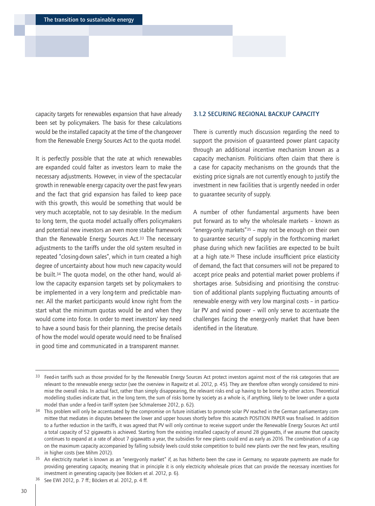<span id="page-29-0"></span>capacity targets for renewables expansion that have already been set by policymakers. The basis for these calculations would be the installed capacity at the time of the changeover from the Renewable Energy Sources Act to the quota model.

It is perfectly possible that the rate at which renewables are expanded could falter as investors learn to make the necessary adjustments. However, in view of the spectacular growth in renewable energy capacity over the past few years and the fact that grid expansion has failed to keep pace with this growth, this would be something that would be very much acceptable, not to say desirable. In the medium to long term, the quota model actually offers policymakers and potential new investors an even more stable framework than the Renewable Energy Sources Act.33 The necessary adjustments to the tariffs under the old system resulted in repeated "closing-down sales", which in turn created a high degree of uncertainty about how much new capacity would be built.34 The quota model, on the other hand, would allow the capacity expansion targets set by policymakers to be implemented in a very long-term and predictable manner. All the market participants would know right from the start what the minimum quotas would be and when they would come into force. In order to meet investors' key need to have a sound basis for their planning, the precise details of how the model would operate would need to be finalised in good time and communicated in a transparent manner.

#### 3.1.2 SECURING REGIONAL BACKUP CAPACITY

There is currently much discussion regarding the need to support the provision of guaranteed power plant capacity through an additional incentive mechanism known as a capacity mechanism. Politicians often claim that there is a case for capacity mechanisms on the grounds that the existing price signals are not currently enough to justify the investment in new facilities that is urgently needed in order to guarantee security of supply.

A number of other fundamental arguments have been put forward as to why the wholesale markets – known as "energy-only markets"35 – may not be enough on their own to guarantee security of supply in the forthcoming market phase during which new facilities are expected to be built at a high rate.36 These include insufficient price elasticity of demand, the fact that consumers will not be prepared to accept price peaks and potential market power problems if shortages arise. Subsidising and prioritising the construction of additional plants supplying fluctuating amounts of renewable energy with very low marginal costs – in particular PV and wind power – will only serve to accentuate the challenges facing the energy-only market that have been identified in the literature.

<sup>&</sup>lt;sup>33</sup> Feed-in tariffs such as those provided for by the Renewable Energy Sources Act protect investors against most of the risk categories that are relevant to the renewable energy sector (see the overview in Ragwitz et al. 2012, p. 45). They are therefore often wrongly considered to minimise the overall risks. In actual fact, rather than simply disappearing, the relevant risks end up having to be borne by other actors. Theoretical modelling studies indicate that, in the long term, the sum of risks borne by society as a whole is, if anything, likely to be lower under a quota model than under a feed-in tariff system (see Schmalensee 2012, p. 62).

<sup>&</sup>lt;sup>34</sup> This problem will only be accentuated by the compromise on future initiatives to promote solar PV reached in the German parliamentary committee that mediates in disputes between the lower and upper houses shortly before this acatech POSITION PAPER was finalised. In addition to a further reduction in the tariffs, it was agreed that PV will only continue to receive support under the Renewable Energy Sources Act until a total capacity of 52 gigawatts is achieved. Starting from the existing installed capacity of around 28 gigawatts, if we assume that capacity continues to expand at a rate of about 7 gigawatts a year, the subsidies for new plants could end as early as 2016. The combination of a cap on the maximum capacity accompanied by falling subsidy levels could stoke competition to build new plants over the next few years, resulting in higher costs (see Mihm 2012).

<sup>&</sup>lt;sup>35</sup> An electricity market is known as an "energy-only market" if, as has hitherto been the case in Germany, no separate payments are made for providing generating capacity, meaning that in principle it is only electricity wholesale prices that can provide the necessary incentives for investment in generating capacity (see Böckers et al. 2012, p. 6).

<sup>36</sup> See EWI 2012, p. 7 ff.; Böckers et al. 2012, p. 4 ff.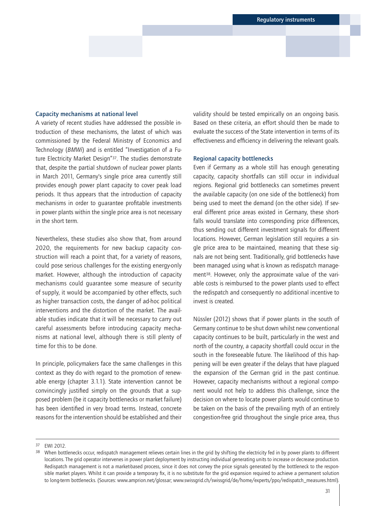#### Capacity mechanisms at national level

A variety of recent studies have addressed the possible introduction of these mechanisms, the latest of which was commissioned by the Federal Ministry of Economics and Technology (*BMWi*) and is entitled "Investigation of a Future Electricity Market Design"37. The studies demonstrate that, despite the partial shutdown of nuclear power plants in March 2011, Germany's single price area currently still provides enough power plant capacity to cover peak load periods. It thus appears that the introduction of capacity mechanisms in order to guarantee profitable investments in power plants within the single price area is not necessary in the short term.

Nevertheless, these studies also show that, from around 2020, the requirements for new backup capacity construction will reach a point that, for a variety of reasons, could pose serious challenges for the existing energy-only market. However, although the introduction of capacity mechanisms could guarantee some measure of security of supply, it would be accompanied by other effects, such as higher transaction costs, the danger of ad-hoc political interventions and the distortion of the market. The available studies indicate that it will be necessary to carry out careful assessments before introducing capacity mechanisms at national level, although there is still plenty of time for this to be done.

In principle, policymakers face the same challenges in this context as they do with regard to the promotion of renewable energy (chapter 3.1.1). State intervention cannot be convincingly justified simply on the grounds that a supposed problem (be it capacity bottlenecks or market failure) has been identified in very broad terms. Instead, concrete reasons for the intervention should be established and their

validity should be tested empirically on an ongoing basis. Based on these criteria, an effort should then be made to evaluate the success of the State intervention in terms of its effectiveness and efficiency in delivering the relevant goals.

### Regional capacity bottlenecks

Even if Germany as a whole still has enough generating capacity, capacity shortfalls can still occur in individual regions. Regional grid bottlenecks can sometimes prevent the available capacity (on one side of the bottleneck) from being used to meet the demand (on the other side). If several different price areas existed in Germany, these shortfalls would translate into corresponding price differences, thus sending out different investment signals for different locations. However, German legislation still requires a single price area to be maintained, meaning that these signals are not being sent. Traditionally, grid bottlenecks have been managed using what is known as redispatch management38. However, only the approximate value of the variable costs is reimbursed to the power plants used to effect the redispatch and consequently no additional incentive to invest is created.

Nüssler (2012) shows that if power plants in the south of Germany continue to be shut down whilst new conventional capacity continues to be built, particularly in the west and north of the country, a capacity shortfall could occur in the south in the foreseeable future. The likelihood of this happening will be even greater if the delays that have plagued the expansion of the German grid in the past continue. However, capacity mechanisms without a regional component would not help to address this challenge, since the decision on where to locate power plants would continue to be taken on the basis of the prevailing myth of an entirely congestion-free grid throughout the single price area, thus

<sup>37</sup> EWI 2012.

<sup>&</sup>lt;sup>38</sup> When bottlenecks occur, redispatch management relieves certain lines in the grid by shifting the electricity fed in by power plants to different locations. The grid operator intervenes in power plant deployment by instructing individual generating units to increase or decrease production. Redispatch management is not a market-based process, since it does not convey the price signals generated by the bottleneck to the responsible market players. Whilst it can provide a temporary fix, it is no substitute for the grid expansion required to achieve a permanent solution to long-term bottlenecks. (Sources: www.amprion.net/glossar; www.swissgrid.ch/swissgrid/de/home/experts/ppo/redispatch\_measures.html).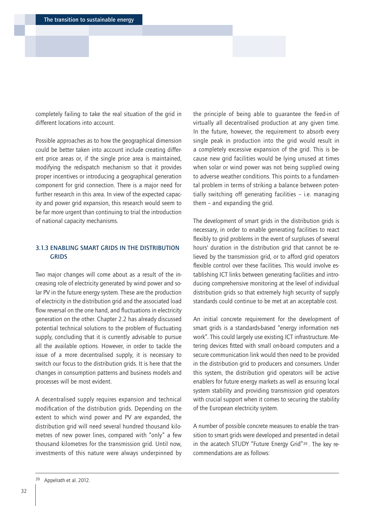<span id="page-31-0"></span>completely failing to take the real situation of the grid in different locations into account.

Possible approaches as to how the geographical dimension could be better taken into account include creating different price areas or, if the single price area is maintained, modifying the redispatch mechanism so that it provides proper incentives or introducing a geographical generation component for grid connection. There is a major need for further research in this area. In view of the expected capacity and power grid expansion, this research would seem to be far more urgent than continuing to trial the introduction of national capacity mechanisms.

# 3.1.3 ENABLING SMART GRIDS IN THE DISTRIBUTION **GRIDS**

Two major changes will come about as a result of the increasing role of electricity generated by wind power and solar PV in the future energy system. These are the production of electricity in the distribution grid and the associated load flow reversal on the one hand, and fluctuations in electricity generation on the other. Chapter 2.2 has already discussed potential technical solutions to the problem of fluctuating supply, concluding that it is currently advisable to pursue all the available options. However, in order to tackle the issue of a more decentralised supply, it is necessary to switch our focus to the distribution grids. It is here that the changes in consumption patterns and business models and processes will be most evident.

A decentralised supply requires expansion and technical modification of the distribution grids. Depending on the extent to which wind power and PV are expanded, the distribution grid will need several hundred thousand kilometres of new power lines, compared with "only" a few thousand kilometres for the transmission grid. Until now, investments of this nature were always underpinned by

the principle of being able to guarantee the feed-in of virtually all decentralised production at any given time. In the future, however, the requirement to absorb every single peak in production into the grid would result in a completely excessive expansion of the grid. This is because new grid facilities would be lying unused at times when solar or wind power was not being supplied owing to adverse weather conditions. This points to a fundamental problem in terms of striking a balance between potentially switching off generating facilities – i.e. managing them – and expanding the grid.

The development of smart grids in the distribution grids is necessary, in order to enable generating facilities to react flexibly to grid problems in the event of surpluses of several hours' duration in the distribution grid that cannot be relieved by the transmission grid, or to afford grid operators flexible control over these facilities. This would involve establishing ICT links between generating facilities and introducing comprehensive monitoring at the level of individual distribution grids so that extremely high security of supply standards could continue to be met at an acceptable cost.

An initial concrete requirement for the development of smart grids is a standards-based "energy information network". This could largely use existing ICT infrastructure. Metering devices fitted with small on-board computers and a secure communication link would then need to be provided in the distribution grid to producers and consumers. Under this system, the distribution grid operators will be active enablers for future energy markets as well as ensuring local system stability and providing transmission grid operators with crucial support when it comes to securing the stability of the European electricity system.

A number of possible concrete measures to enable the transition to smart grids were developed and presented in detail in the acatech STUDY "Future Energy Grid"39 . The key recommendations are as follows: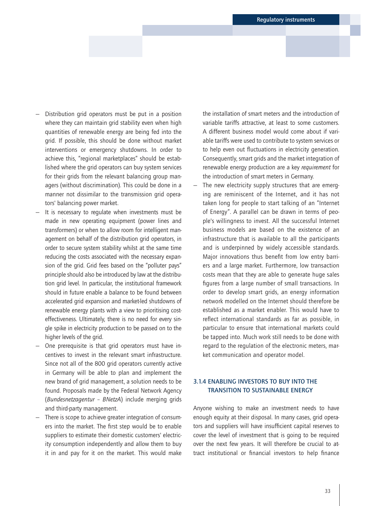- <span id="page-32-0"></span>— Distribution grid operators must be put in a position where they can maintain grid stability even when high quantities of renewable energy are being fed into the grid. If possible, this should be done without market interventions or emergency shutdowns. In order to achieve this, "regional marketplaces" should be established where the grid operators can buy system services for their grids from the relevant balancing group managers (without discrimination). This could be done in a manner not dissimilar to the transmission grid operators' balancing power market.
- It is necessary to regulate when investments must be made in new operating equipment (power lines and transformers) or when to allow room for intelligent management on behalf of the distribution grid operators, in order to secure system stability whilst at the same time reducing the costs associated with the necessary expansion of the grid. Grid fees based on the "polluter pays" principle should also be introduced by law at the distribution grid level. In particular, the institutional framework should in future enable a balance to be found between accelerated grid expansion and market-led shutdowns of renewable energy plants with a view to prioritising costeffectiveness. Ultimately, there is no need for every single spike in electricity production to be passed on to the higher levels of the grid.
- One prerequisite is that grid operators must have incentives to invest in the relevant smart infrastructure. Since not all of the 800 grid operators currently active in Germany will be able to plan and implement the new brand of grid management, a solution needs to be found. Proposals made by the Federal Network Agency (*Bundesnetzagentur – BNetzA*) include merging grids and third-party management.
- There is scope to achieve greater integration of consumers into the market. The first step would be to enable suppliers to estimate their domestic customers' electricity consumption independently and allow them to buy it in and pay for it on the market. This would make

the installation of smart meters and the introduction of variable tariffs attractive, at least to some customers. A different business model would come about if variable tariffs were used to contribute to system services or to help even out fluctuations in electricity generation. Consequently, smart grids and the market integration of renewable energy production are a key *requirement* for the introduction of smart meters in Germany.

The new electricity supply structures that are emerging are reminiscent of the Internet, and it has not taken long for people to start talking of an "Internet of Energy". A parallel can be drawn in terms of people's willingness to invest. All the successful Internet business models are based on the existence of an infrastructure that is available to all the participants and is underpinned by widely accessible standards. Major innovations thus benefit from low entry barriers and a large market. Furthermore, low transaction costs mean that they are able to generate huge sales figures from a large number of small transactions. In order to develop smart grids, an energy information network modelled on the Internet should therefore be established as a market enabler. This would have to reflect international standards as far as possible, in particular to ensure that international markets could be tapped into. Much work still needs to be done with regard to the regulation of the electronic meters, market communication and operator model.

# 3.1.4 ENABLING INVESTORS TO BUY INTO THE TRANSITION TO SUSTAINABLE ENERGY

Anyone wishing to make an investment needs to have enough equity at their disposal. In many cases, grid operators and suppliers will have insufficient capital reserves to cover the level of investment that is going to be required over the next few years. It will therefore be crucial to attract institutional or financial investors to help finance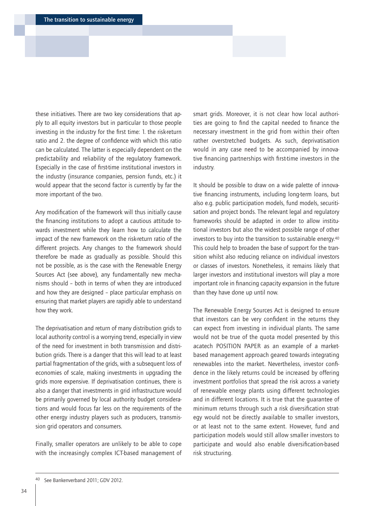these initiatives. There are two key considerations that apply to all equity investors but in particular to those people investing in the industry for the first time: 1. the risk-return ratio and 2. the degree of confidence with which this ratio can be calculated. The latter is especially dependent on the predictability and reliability of the regulatory framework. Especially in the case of first-time institutional investors in the industry (insurance companies, pension funds, etc.) it would appear that the second factor is currently by far the more important of the two.

Any modification of the framework will thus initially cause the financing institutions to adopt a cautious attitude towards investment while they learn how to calculate the impact of the new framework on the risk-return ratio of the different projects. Any changes to the framework should therefore be made as gradually as possible. Should this not be possible, as is the case with the Renewable Energy Sources Act (see above), any fundamentally new mechanisms should – both in terms of when they are introduced and how they are designed – place particular emphasis on ensuring that market players are rapidly able to understand how they work.

The deprivatisation and return of many distribution grids to local authority control is a worrying trend, especially in view of the need for investment in both transmission and distribution grids. There is a danger that this will lead to at least partial fragmentation of the grids, with a subsequent loss of economies of scale, making investments in upgrading the grids more expensive. If deprivatisation continues, there is also a danger that investments in grid infrastructure would be primarily governed by local authority budget considerations and would focus far less on the requirements of the other energy industry players such as producers, transmission grid operators and consumers.

Finally, smaller operators are unlikely to be able to cope with the increasingly complex ICT-based management of smart grids. Moreover, it is not clear how local authorities are going to find the capital needed to finance the necessary investment in the grid from within their often rather overstretched budgets. As such, deprivatisation would in any case need to be accompanied by innovative financing partnerships with first-time investors in the industry.

It should be possible to draw on a wide palette of innovative financing instruments, including long-term loans, but also e.g. public participation models, fund models, securitisation and project bonds. The relevant legal and regulatory frameworks should be adapted in order to allow institutional investors but also the widest possible range of other investors to buy into the transition to sustainable energy.40 This could help to broaden the base of support for the transition whilst also reducing reliance on individual investors or classes of investors. Nonetheless, it remains likely that larger investors and institutional investors will play a more important role in financing capacity expansion in the future than they have done up until now.

The Renewable Energy Sources Act is designed to ensure that investors can be very confident in the returns they can expect from investing in individual plants. The same would not be true of the quota model presented by this acatech POSITION PAPER as an example of a marketbased management approach geared towards integrating renewables into the market. Nevertheless, investor confidence in the likely returns could be increased by offering investment portfolios that spread the risk across a variety of renewable energy plants using different technologies and in different locations. It is true that the guarantee of minimum returns through such a risk diversification strategy would not be directly available to smaller investors, or at least not to the same extent. However, fund and participation models would still allow smaller investors to participate and would also enable diversification-based risk structuring.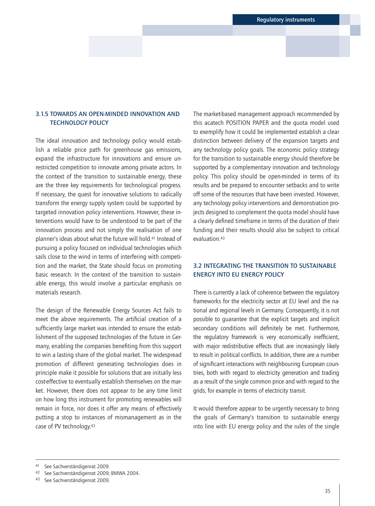# <span id="page-34-0"></span>3.1.5 TOWARDS AN OPEN-MINDED INNOVATION AND TECHNOLOGY POLICY

The ideal innovation and technology policy would establish a reliable price path for greenhouse gas emissions, expand the infrastructure for innovations and ensure unrestricted competition to innovate among private actors. In the context of the transition to sustainable energy, these are the three key requirements for technological progress. If necessary, the quest for innovative solutions to radically transform the energy supply system could be supported by targeted innovation policy interventions. However, these interventions would have to be understood to be part of the innovation process and not simply the realisation of one planner's ideas about what the future will hold.41 Instead of pursuing a policy focused on individual technologies which sails close to the wind in terms of interfering with competition and the market, the State should focus on promoting basic research. In the context of the transition to sustainable energy, this would involve a particular emphasis on materials research.

The design of the Renewable Energy Sources Act fails to meet the above requirements. The artificial creation of a sufficiently large market was intended to ensure the establishment of the supposed technologies of the future in Germany, enabling the companies benefiting from this support to win a lasting share of the global market. The widespread promotion of different generating technologies does in principle make it possible for solutions that are initially less cost-effective to eventually establish themselves on the market. However, there does not appear to be any time limit on how long this instrument for promoting renewables will remain in force, nor does it offer any means of effectively putting a stop to instances of mismanagement as in the case of PV technology.42

The market-based management approach recommended by this acatech POSITION PAPER and the quota model used to exemplify how it could be implemented establish a clear distinction between delivery of the expansion targets and any technology policy goals. The economic policy strategy for the transition to sustainable energy should therefore be supported by a complementary innovation and technology policy. This policy should be open-minded in terms of its results and be prepared to encounter setbacks and to write off some of the resources that have been invested. However, any technology policy interventions and demonstration projects designed to complement the quota model should have a clearly defined timeframe in terms of the duration of their funding and their results should also be subject to critical evaluation 43

# 3.2 INTEGRATING THE TRANSITION TO SUSTAINABLE ENERGY INTO EU ENERGY POLICY

There is currently a lack of coherence between the regulatory frameworks for the electricity sector at EU level and the national and regional levels in Germany. Consequently, it is not possible to guarantee that the explicit targets and implicit secondary conditions will definitely be met. Furthermore, the regulatory framework is very economically inefficient, with major redistributive effects that are increasingly likely to result in political conflicts. In addition, there are a number of significant interactions with neighbouring European countries, both with regard to electricity generation and trading as a result of the single common price and with regard to the grids, for example in terms of electricity transit.

It would therefore appear to be urgently necessary to bring the goals of Germany's transition to sustainable energy into line with EU energy policy and the rules of the single

<sup>41</sup> See Sachverständigenrat 2009.

<sup>42</sup> See Sachverständigenrat 2009; BMWA 2004.

<sup>43</sup> See Sachverständigenrat 2009.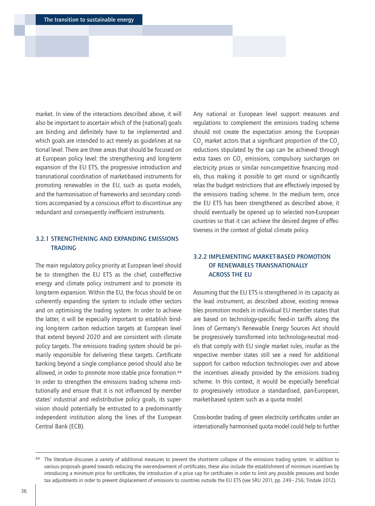<span id="page-35-0"></span>market. In view of the interactions described above, it will also be important to ascertain which of the (national) goals are binding and definitely have to be implemented and which goals are intended to act merely as guidelines at national level. There are three areas that should be focused on at European policy level: the strengthening and long-term expansion of the EU ETS, the progressive introduction and transnational coordination of market-based instruments for promoting renewables in the EU, such as quota models, and the harmonisation of frameworks and secondary conditions accompanied by a conscious effort to discontinue any redundant and consequently inefficient instruments.

# 3.2.1 STRENGTHENING AND EXPANDING EMISSIONS **TRADING**

The main regulatory policy priority at European level should be to strengthen the EU ETS as the chief, cost-effective energy and climate policy instrument and to promote its long-term expansion. Within the EU, the focus should be on coherently expanding the system to include other sectors and on optimising the trading system. In order to achieve the latter, it will be especially important to establish binding long-term carbon reduction targets at European level that extend beyond 2020 and are consistent with climate policy targets. The emissions trading system should be primarily responsible for delivering these targets. Certificate banking beyond a single compliance period should also be allowed, in order to promote more stable price formation.44 In order to strengthen the emissions trading scheme institutionally and ensure that it is not influenced by member states' industrial and redistributive policy goals, its supervision should potentially be entrusted to a predominantly independent institution along the lines of the European Central Bank (ECB).

Any national or European level support measures and regulations to complement the emissions trading scheme should not create the expectation among the European  $\text{CO}_2$  market actors that a significant proportion of the  $\text{CO}_2$ reductions stipulated by the cap can be achieved through extra taxes on  $CO<sub>2</sub>$  emissions, compulsory surcharges on electricity prices or similar non-competitive financing models, thus making it possible to get round or significantly relax the budget restrictions that are effectively imposed by the emissions trading scheme. In the medium term, once the EU ETS has been strengthened as described above, it should eventually be opened up to selected non-European countries so that it can achieve the desired degree of effectiveness in the context of global climate policy.

# 3.2.2 IMPLEMENTING MARKET-BASED PROMOTION OF RENEWABLES TRANSNATIONALLY ACROSS THE EU

Assuming that the EU ETS is strengthened in its capacity as the lead instrument, as described above, existing renewables promotion models in individual EU member states that are based on technology-specific feed-in tariffs along the lines of Germany's Renewable Energy Sources Act should be progressively transformed into technology-neutral models that comply with EU single market rules, insofar as the respective member states still see a need for additional support for carbon reduction technologies over and above the incentives already provided by the emissions trading scheme. In this context, it would be especially beneficial to progressively introduce a standardised, pan-European, market-based system such as a quota model.

Cross-border trading of green electricity certificates under an internationally harmonised quota model could help to further

<sup>44</sup> The literature discusses a variety of additional measures to prevent the short-term collapse of the emissions trading system. In addition to various proposals geared towards reducing the over-endowment of certificates, these also include the establishment of minimum incentives by introducing a minimum price for certificates, the introduction of a price cap for certificates in order to limit any possible pressures and border tax adjustments in order to prevent displacement of emissions to countries outside the EU ETS (see SRU 2011, pp. 249–256; Tindale 2012).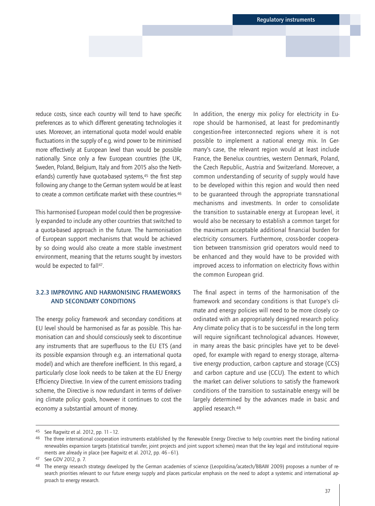<span id="page-36-0"></span>reduce costs, since each country will tend to have specific preferences as to which different generating technologies it uses. Moreover, an international quota model would enable fluctuations in the supply of e.g. wind power to be minimised more effectively at European level than would be possible nationally. Since only a few European countries (the UK, Sweden, Poland, Belgium, Italy and from 2015 also the Netherlands) currently have quota-based systems,<sup>45</sup> the first step following any change to the German system would be at least to create a common certificate market with these countries.46

This harmonised European model could then be progressively expanded to include any other countries that switched to a quota-based approach in the future. The harmonisation of European support mechanisms that would be achieved by so doing would also create a more stable investment environment, meaning that the returns sought by investors would be expected to fall<sup>47</sup>.

# 3.2.3 IMPROVING AND HARMONISING FRAMEWORKS AND SECONDARY CONDITIONS

The energy policy framework and secondary conditions at EU level should be harmonised as far as possible. This harmonisation can and should consciously seek to discontinue any instruments that are superfluous to the EU ETS (and its possible expansion through e.g. an international quota model) and which are therefore inefficient. In this regard, a particularly close look needs to be taken at the EU Energy Efficiency Directive. In view of the current emissions trading scheme, the Directive is now redundant in terms of delivering climate policy goals, however it continues to cost the economy a substantial amount of money.

In addition, the energy mix policy for electricity in Europe should be harmonised, at least for predominantly congestion-free interconnected regions where it is not possible to implement a national energy mix. In Germany's case, the relevant region would at least include France, the Benelux countries, western Denmark, Poland, the Czech Republic, Austria and Switzerland. Moreover, a common understanding of security of supply would have to be developed within this region and would then need to be guaranteed through the appropriate transnational mechanisms and investments. In order to consolidate the transition to sustainable energy at European level, it would also be necessary to establish a common target for the maximum acceptable additional financial burden for electricity consumers. Furthermore, cross-border cooperation between transmission grid operators would need to be enhanced and they would have to be provided with improved access to information on electricity flows within the common European grid.

The final aspect in terms of the harmonisation of the framework and secondary conditions is that Europe's climate and energy policies will need to be more closely coordinated with an appropriately designed research policy. Any climate policy that is to be successful in the long term will require significant technological advances. However, in many areas the basic principles have yet to be developed, for example with regard to energy storage, alternative energy production, carbon capture and storage (CCS) and carbon capture and use (CCU). The extent to which the market can deliver solutions to satisfy the framework conditions of the transition to sustainable energy will be largely determined by the advances made in basic and applied research.48

<sup>45</sup> See Ragwitz et al. 2012, pp. 11–12.

<sup>&</sup>lt;sup>46</sup> The three international cooperation instruments established by the Renewable Energy Directive to help countries meet the binding national renewables expansion targets (statistical transfer, joint projects and joint support schemes) mean that the key legal and institutional requirements are already in place (see Ragwitz et al. 2012, pp. 46–61).

<sup>47</sup> See GDV 2012, p. 7.

<sup>48</sup> The energy research strategy developed by the German academies of science (Leopoldina/acatech/BBAW 2009) proposes a number of research priorities relevant to our future energy supply and places particular emphasis on the need to adopt a systemic and international approach to energy research.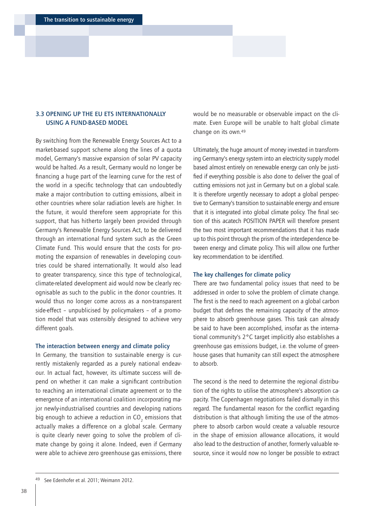# <span id="page-37-0"></span>3.3 OPENING UP THE EU ETS INTERNATIONALLY USING A FUND-BASED MODEL

By switching from the Renewable Energy Sources Act to a market-based support scheme along the lines of a quota model, Germany's massive expansion of solar PV capacity would be halted. As a result, Germany would no longer be financing a huge part of the learning curve for the rest of the world in a specific technology that can undoubtedly make a major contribution to cutting emissions, albeit in other countries where solar radiation levels are higher. In the future, it would therefore seem appropriate for this support, that has hitherto largely been provided through Germany's Renewable Energy Sources Act, to be delivered through an international fund system such as the Green Climate Fund. This would ensure that the costs for promoting the expansion of renewables in developing countries could be shared internationally. It would also lead to greater transparency, since this type of technological, climate-related development aid would now be clearly recognisable as such to the public in the donor countries. It would thus no longer come across as a non-transparent side-effect – unpublicised by policymakers – of a promotion model that was ostensibly designed to achieve very different goals.

#### The interaction between energy and climate policy

In Germany, the transition to sustainable energy is currently mistakenly regarded as a purely national endeavour. In actual fact, however, its ultimate success will depend on whether it can make a significant contribution to reaching an international climate agreement or to the emergence of an international coalition incorporating major newly-industrialised countries and developing nations big enough to achieve a reduction in CO $_{_2}$  emissions that actually makes a difference on a global scale. Germany is quite clearly never going to solve the problem of climate change by going it alone. Indeed, even if Germany were able to achieve zero greenhouse gas emissions, there

would be no measurable or observable impact on the climate. Even Europe will be unable to halt global climate change on its own.49

Ultimately, the huge amount of money invested in transforming Germany's energy system into an electricity supply model based almost entirely on renewable energy can only be justified if everything possible is also done to deliver the goal of cutting emissions not just in Germany but on a global scale. It is therefore urgently necessary to adopt a global perspective to Germany's transition to sustainable energy and ensure that it is integrated into global climate policy. The final section of this acatech POSITION PAPER will therefore present the two most important recommendations that it has made up to this point through the prism of the interdependence between energy and climate policy. This will allow one further key recommendation to be identified.

#### The key challenges for climate policy

There are two fundamental policy issues that need to be addressed in order to solve the problem of climate change. The first is the need to reach agreement on a global carbon budget that defines the remaining capacity of the atmosphere to absorb greenhouse gases. This task can already be said to have been accomplished, insofar as the international community's 2°C target implicitly also establishes a greenhouse gas emissions budget, i.e. the volume of greenhouse gases that humanity can still expect the atmosphere to absorb.

The second is the need to determine the regional distribution of the rights to utilise the atmosphere's absorption capacity. The Copenhagen negotiations failed dismally in this regard. The fundamental reason for the conflict regarding distribution is that although limiting the use of the atmosphere to absorb carbon would create a valuable resource in the shape of emission allowance allocations, it would also lead to the destruction of another, formerly valuable resource, since it would now no longer be possible to extract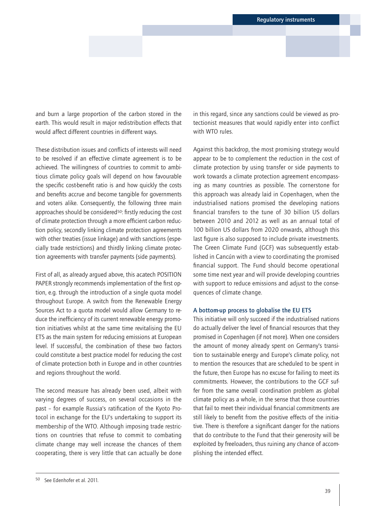and burn a large proportion of the carbon stored in the earth. This would result in major redistribution effects that would affect different countries in different ways.

These distribution issues and conflicts of interests will need to be resolved if an effective climate agreement is to be achieved. The willingness of countries to commit to ambitious climate policy goals will depend on how favourable the specific cost-benefit ratio is and how quickly the costs and benefits accrue and become tangible for governments and voters alike. Consequently, the following three main approaches should be considered<sup>50</sup>: firstly reducing the cost of climate protection through a more efficient carbon reduction policy, secondly linking climate protection agreements with other treaties (issue linkage) and with sanctions (especially trade restrictions) and thirdly linking climate protection agreements with transfer payments (side payments).

First of all, as already argued above, this acatech POSITION PAPER strongly recommends implementation of the first option, e.g. through the introduction of a single quota model throughout Europe. A switch from the Renewable Energy Sources Act to a quota model would allow Germany to reduce the inefficiency of its current renewable energy promotion initiatives whilst at the same time revitalising the EU ETS as the main system for reducing emissions at European level. If successful, the combination of these two factors could constitute a best practice model for reducing the cost of climate protection both in Europe and in other countries and regions throughout the world.

The second measure has already been used, albeit with varying degrees of success, on several occasions in the past – for example Russia's ratification of the Kyoto Protocol in exchange for the EU's undertaking to support its membership of the WTO. Although imposing trade restrictions on countries that refuse to commit to combating climate change may well increase the chances of them cooperating, there is very little that can actually be done

in this regard, since any sanctions could be viewed as protectionist measures that would rapidly enter into conflict with WTO rules.

Against this backdrop, the most promising strategy would appear to be to complement the reduction in the cost of climate protection by using transfer or side payments to work towards a climate protection agreement encompassing as many countries as possible. The cornerstone for this approach was already laid in Copenhagen, when the industrialised nations promised the developing nations financial transfers to the tune of 30 billion US dollars between 2010 and 2012 as well as an annual total of 100 billion US dollars from 2020 onwards, although this last figure is also supposed to include private investments. The Green Climate Fund (GCF) was subsequently established in Cancún with a view to coordinating the promised financial support. The Fund should become operational some time next year and will provide developing countries with support to reduce emissions and adjust to the consequences of climate change.

## A bottom-up process to globalise the EU ETS

This initiative will only succeed if the industrialised nations do actually deliver the level of financial resources that they promised in Copenhagen (if not more). When one considers the amount of money already spent on Germany's transition to sustainable energy and Europe's climate policy, not to mention the resources that are scheduled to be spent in the future, then Europe has no excuse for failing to meet its commitments. However, the contributions to the GCF suffer from the same overall coordination problem as global climate policy as a whole, in the sense that those countries that fail to meet their individual financial commitments are still likely to benefit from the positive effects of the initiative. There is therefore a significant danger for the nations that do contribute to the Fund that their generosity will be exploited by freeloaders, thus ruining any chance of accomplishing the intended effect.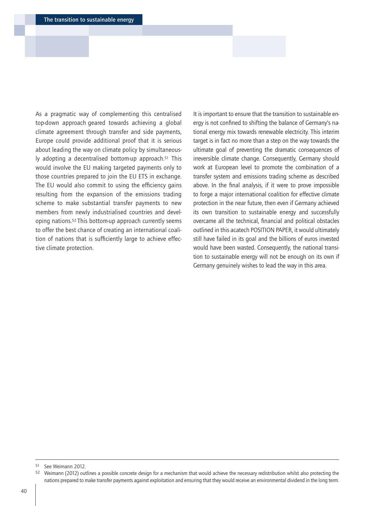As a pragmatic way of complementing this centralised top-down approach geared towards achieving a global climate agreement through transfer and side payments, Europe could provide additional proof that it is serious about leading the way on climate policy by simultaneously adopting a decentralised bottom-up approach.51 This would involve the EU making targeted payments only to those countries prepared to join the EU ETS in exchange. The EU would also commit to using the efficiency gains resulting from the expansion of the emissions trading scheme to make substantial transfer payments to new members from newly industrialised countries and developing nations.52 This bottom-up approach currently seems to offer the best chance of creating an international coalition of nations that is sufficiently large to achieve effective climate protection.

It is important to ensure that the transition to sustainable energy is not confined to shifting the balance of Germany's national energy mix towards renewable electricity. This interim target is in fact no more than a step on the way towards the ultimate goal of preventing the dramatic consequences of irreversible climate change. Consequently, Germany should work at European level to promote the combination of a transfer system and emissions trading scheme as described above. In the final analysis, if it were to prove impossible to forge a major international coalition for effective climate protection in the near future, then even if Germany achieved its own transition to sustainable energy and successfully overcame all the technical, financial and political obstacles outlined in this acatech POSITION PAPER, it would ultimately still have failed in its goal and the billions of euros invested would have been wasted. Consequently, the national transition to sustainable energy will not be enough on its own if Germany genuinely wishes to lead the way in this area.

See Weimann 2012.

Weimann (2012) outlines a possible concrete design for a mechanism that would achieve the necessary redistribution whilst also protecting the nations prepared to make transfer payments against exploitation and ensuring that they would receive an environmental dividend in the long term.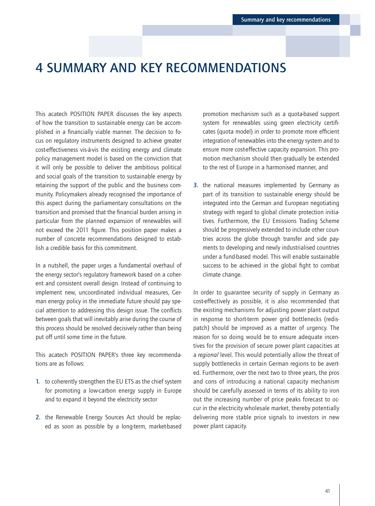# <span id="page-40-0"></span>4 SUMMARY AND KEY RECOMMENDATIONS

This acatech POSITION PAPER discusses the key aspects of how the transition to sustainable energy can be accomplished in a financially viable manner. The decision to focus on regulatory instruments designed to achieve greater cost-effectiveness vis-à-vis the existing energy and climate policy management model is based on the conviction that it will only be possible to deliver the ambitious political and social goals of the transition to sustainable energy by retaining the support of the public and the business community. Policymakers already recognised the importance of this aspect during the parliamentary consultations on the transition and promised that the financial burden arising in particular from the planned expansion of renewables will not exceed the 2011 figure. This position paper makes a number of concrete recommendations designed to establish a credible basis for this commitment.

In a nutshell, the paper urges a fundamental overhaul of the energy sector's regulatory framework based on a coherent and consistent overall design. Instead of continuing to implement new, uncoordinated individual measures, German energy policy in the immediate future should pay special attention to addressing this design issue. The conflicts between goals that will inevitably arise during the course of this process should be resolved decisively rather than being put off until some time in the future.

This acatech POSITION PAPER's three key recommendations are as follows:

- 1. to coherently strengthen the EU ETS as the chief system for promoting a low-carbon energy supply in Europe and to expand it beyond the electricity sector
- 2. the Renewable Energy Sources Act should be replaced as soon as possible by a long-term, market-based

promotion mechanism such as a quota-based support system for renewables using green electricity certificates (quota model) in order to promote more efficient integration of renewables into the energy system and to ensure more cost-effective capacity expansion. This promotion mechanism should then gradually be extended to the rest of Europe in a harmonised manner, and

3. the national measures implemented by Germany as part of its transition to sustainable energy should be integrated into the German and European negotiating strategy with regard to global climate protection initiatives. Furthermore, the EU Emissions Trading Scheme should be progressively extended to include other countries across the globe through transfer and side payments to developing and newly industrialised countries under a fund-based model. This will enable sustainable success to be achieved in the global fight to combat climate change.

In order to guarantee security of supply in Germany as cost-effectively as possible, it is also recommended that the existing mechanisms for adjusting power plant output in response to short-term power grid bottlenecks (redispatch) should be improved as a matter of urgency. The reason for so doing would be to ensure adequate incentives for the provision of secure power plant capacities at a *regional* level. This would potentially allow the threat of supply bottlenecks in certain German regions to be averted. Furthermore, over the next two to three years, the pros and cons of introducing a national capacity mechanism should be carefully assessed in terms of its ability to iron out the increasing number of price peaks forecast to occur in the electricity wholesale market, thereby potentially delivering more stable price signals to investors in new power plant capacity.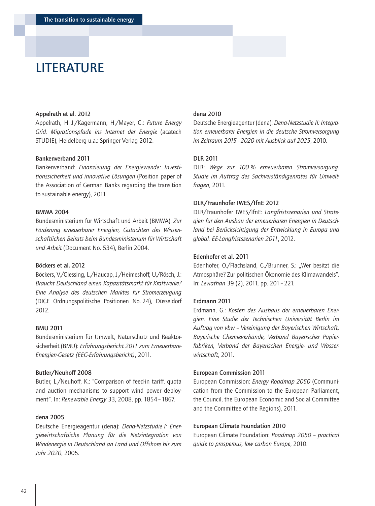# <span id="page-41-0"></span>**LITERATURE**

#### Appelrath et al. 2012

Appelrath, H. J./Kagermann, H./Mayer, C.: *Future Energy Grid. Migrationspfade ins Internet der Energie* (acatech STUDIE), Heidelberg u.a.: Springer Verlag 2012.

## Bankenverband 2011

Bankenverband: *Finanzierung der Energiewende: Investitionssicherheit und innovative Lösungen* (Position paper of the Association of German Banks regarding the transition to sustainable energy), 2011.

# BMWA 2004

Bundesministerium für Wirtschaft und Arbeit (BMWA): *Zur Förderung erneuerbarer Energien, Gutachten des Wissenschaftlichen Beirats beim Bundesministerium für Wirtschaft und Arbeit* (Document No. 534), Berlin 2004.

#### Böckers et al. 2012

Böckers, V./Giessing, L./Haucap, J./Heimeshoff, U./Rösch, J.: *Braucht Deutschland einen Kapazitätsmarkt für Kraftwerke? Eine Analyse des deutschen Marktes für Stromerzeugung* (DICE Ordnungspolitische Positionen No. 24), Düsseldorf 2012.

# BMU 2011

Bundesministerium für Umwelt, Naturschutz und Reaktorsicherheit (BMU): *Erfahrungsbericht 2011 zum Erneuerbare-Energien-Gesetz (EEG-Erfahrungsbericht)*, 2011.

#### Butler**/**Neuhoff 2008

Butler, L./Neuhoff, K.: "Comparison of feed-in tariff, quota and auction mechanisms to support wind power deployment". In: *Renewable Energy* 33, 2008, pp. 1854–1867.

## dena 2005

Deutsche Energieagentur (dena): *Dena-Netzstudie I: Energiewirtschaftliche Planung für die Netzintegration von Windenergie in Deutschland an Land und Offshore bis zum Jahr 2020*, 2005.

## dena 2010

Deutsche Energieagentur (dena): *Dena-Netzstudie II: Integration erneuerbarer Energien in die deutsche Stromversorgung im Zeitraum 2015–2020 mit Ausblick auf 2025*, 2010.

#### DLR 2011

DLR: *Wege zur 100 % erneuerbaren Stromversorgung. Studie im Auftrag des Sachverständigenrates für Umweltfragen*, 2011.

## DLR**/**Fraunhofer IWES**/**IfnE 2012

DLR/Fraunhofer IWES/IfnE: *Langfristszenarien und Strategien für den Ausbau der erneuerbaren Energien in Deutschland bei Berücksichtigung der Entwicklung in Europa und global. EE-Langfristszenarien 2011*, 2012.

### Edenhofer et al. 2011

Edenhofer, O./Flachsland, C./Brunner, S.: "Wer besitzt die Atmosphäre? Zur politischen Ökonomie des Klimawandels". In: *Leviathan* 39 (2), 2011, pp. 201–221.

#### Erdmann 2011

Erdmann, G.: *Kosten des Ausbaus der erneuerbaren Energien. Eine Studie der Technischen Universität Berlin im Auftrag von vbw – Vereinigung der Bayerischen Wirtschaft, Bayerische Chemieverbände, Verband Bayerischer Papierfabriken, Verband der Bayerischen Energie- und Wasserwirtschaft*, 2011.

#### European Commission 2011

European Commission: *Energy Roadmap 2050* (Communication from the Commission to the European Parliament, the Council, the European Economic and Social Committee and the Committee of the Regions), 2011.

#### European Climate Foundation 2010

European Climate Foundation: *Roadmap 2050 – practical guide to prosperous, low carbon Europe*, 2010.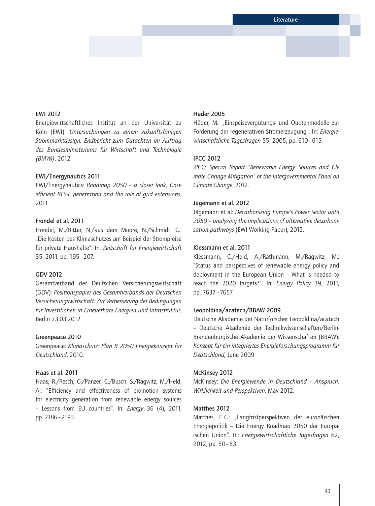## EWI 2012

Energiewirtschaftliches Institut an der Universität zu Köln (EWI): *Untersuchungen zu einem zukunftsfähigen Strommarktdesign. Endbericht zum Gutachten im Auftrag des Bundesministeriums für Wirtschaft und Technologie (BMWi)*, 2012.

### EWI**/**Energynautics 2011

EWI/Energynautics: *Roadmap 2050 – a closer look, Costefficient RES-E penetration and the role of grid extensions*, 2011.

## Frondel et al. 2011

Frondel, M./Ritter, N./aus dem Moore, N./Schmidt, C.: "Die Kosten des Klimaschutzes am Beispiel der Strompreise für private Haushalte". In: *Zeitschrift für Energiewirtschaft*  35, 2011, pp. 195–207.

## GDV 2012

Gesamtverband der Deutschen Versicherungswirtschaft (GDV): *Positionspapier des Gesamtverbands der Deutschen Versicherungswirtschaft: Zur Verbesserung der Bedingungen für Investitionen in Erneuerbare Energien und Infrastruktur*, Berlin 23.03.2012.

### Greenpeace 2010

Greenpeace: *Klimaschutz: Plan B 2050 Energiekonzept für Deutschland*, 2010.

### Haas et al. 2011

Haas, R./Resch, G./Panzer, C./Busch, S./Ragwitz, M./Held, A.: "Efficiency and effectiveness of promotion systems for electricity generation from renewable energy sources – Lessons from EU countries". In: *Energy* 36 (4), 2011, pp. 2186–2193.

# Häder 2005

Häder, M.: "Einspeisevergütungs- und Quotenmodelle zur Förderung der regenerativen Stromerzeugung". In: *Energiewirtschaftliche Tagesfragen* 55, 2005, pp. 610–615.

## IPCC 2012

IPCC: *Special Report "Renewable Energy Sources and Climate Change Mitigation" of the Intergovernmental Panel on Climate Change*, 2012.

## Jägemann et al. 2012

Jägemann et al: *Decarbonizing Europe's Power Sector until 2050 – analyzing the implications of alternative decarbonisation pathways* (EWI Working Paper), 2012.

## Klessmann et al. 2011

Klessmann, C./Held, A./Rathmann, M./Ragwitz, M.: "Status and perspectives of renewable energy policy and deployment in the European Union – What is needed to reach the 2020 targets?". In: *Energy Policy* 39, 2011, pp. 7637–7657.

#### Leopoldina**/**acatech**/**BBAW 2009

Deutsche Akademie der Naturforscher Leopoldina/acatech – Deutsche Akademie der Technikwissenschaften/Berlin-Brandenburgische Akademie der Wissenschaften (BBAW): *Konzept für ein integriertes Energieforschungsprogramm für Deutschland,* June 2009.

#### McKinsey 2012

McKinsey: *Die Energiewende in Deutschland – Anspruch, Wirklichkeit und Perspektiven,* May 2012.

### Matthes 2012

Matthes, F. C.: "Langfristperspektiven der europäischen Energiepolitik – Die Energy Roadmap 2050 der Europäischen Union". In: *Energiewirtschaftliche Tagesfragen* 62, 2012, pp. 50–53.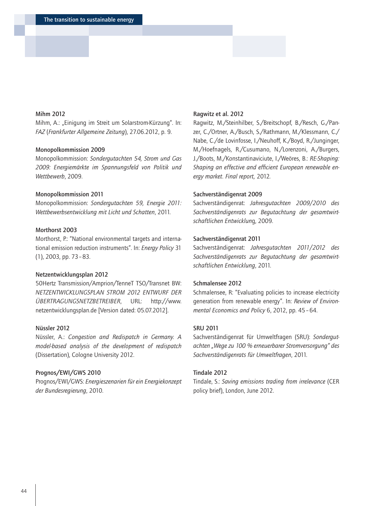## Mihm 2012

Mihm, A.: "Einigung im Streit um Solarstrom-Kürzung". In: *FAZ* (*Frankfurter Allgemeine Zeitung*), 27.06.2012, p. 9.

#### Monopolkommission 2009

Monopolkommission: *Sondergutachten 54, Strom und Gas 2009: Energiemärkte im Spannungsfeld von Politik und Wettbewerb*, 2009.

## Monopolkommission 2011

Monopolkommission: *Sondergutachten 59, Energie 2011: Wettbewerbsentwicklung mit Licht und Schatten*, 2011.

## Morthorst 2003

Morthorst, P.: "National environmental targets and international emission reduction instruments". In: *Energy Policy* 31 (1), 2003, pp. 73–83.

#### Netzentwicklungsplan 2012

50Hertz Transmission/Amprion/TenneT TSO/Transnet BW: *NETZENTWICKLUNGSPLAN STROM 2012 ENTWURF DER ÜBERTRAGUNGSNETZBETREIBER*, URL: http://[www.](http://www.netzentwicklungsplan.de) [netzentwicklungsplan.de](http://www.netzentwicklungsplan.de) [Version dated: 05.07.2012].

## Nüssler 2012

Nüssler, A.: *Congestion and Redispatch in Germany. A model-based analysis of the development of redispatch* (Dissertation), Cologne University 2012.

### Prognos**/**EWI**/**GWS 2010

Prognos/EWI/GWS: *Energieszenarien für ein Energiekonzept der Bundesregierung*, 2010.

### Ragwitz et al. 2012

Ragwitz, M./Steinhilber, S./Breitschopf, B./Resch, G./Panzer, C./Ortner, A./Busch, S./Rathmann, M./Klessmann, C./ Nabe, C./de Lovinfosse, I./Neuhoff, K./Boyd, R./Junginger, M./Hoefnagels, R./Cusumano, N./Lorenzoni, A./Burgers, J./Boots, M./Konstantinaviciute, I./Weöres, B.: *RE-Shaping: Shaping an effective and efficient European renewable energy market. Final report,* 2012*.*

## Sachverständigenrat 2009

Sachverständigenrat: *Jahresgutachten 2009*/*2010 des Sachverständigenrats zur Begutachtung der gesamtwirtschaftlichen Entwicklun*g, 2009.

## Sachverständigenrat 2011

Sachverständigenrat: *Jahresgutachten 2011*/*2012 des Sachverständigenrats zur Begutachtung der gesamtwirtschaftlichen Entwicklung*, 2011.

## Schmalensee 2012

Schmalensee, R: "Evaluating policies to increase electricity generation from renewable energy". In: *Review of Environmental Economics and Policy* 6, 2012, pp. 45–64.

## SRU 2011

Sachverständigenrat für Umweltfragen (SRU): *Sondergutachten "Wege zu 100 % erneuerbarer Stromversorgung" des Sachverständigenrats für Umweltfragen*, 2011.

### Tindale 2012

Tindale, S.: *Saving emissions trading from irrelevance* (CER policy brief), London, June 2012.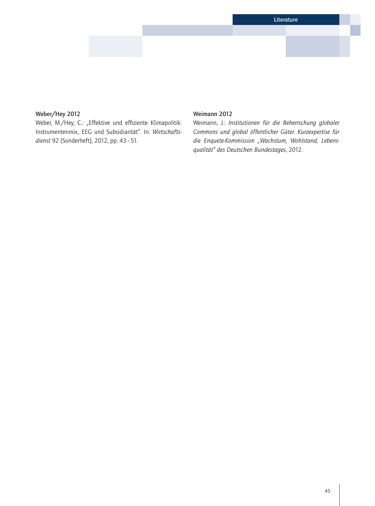# Weber**/**Hey 2012

Weber, M./Hey, C.: "Effektive und effiziente Klimapolitik: Instrumentenmix, EEG und Subsidiarität". In: *Wirtschaftsdienst* 92 (Sonderheft), 2012, pp. 43–51.

# Weimann 2012

Weimann, J.: *Institutionen für die Beherrschung globaler Commons und global öffentlicher Güter. Kurzexpertise für die Enquete-Kommission "Wachstum, Wohlstand, Lebensqualität" des Deutschen Bundestages*, 2012.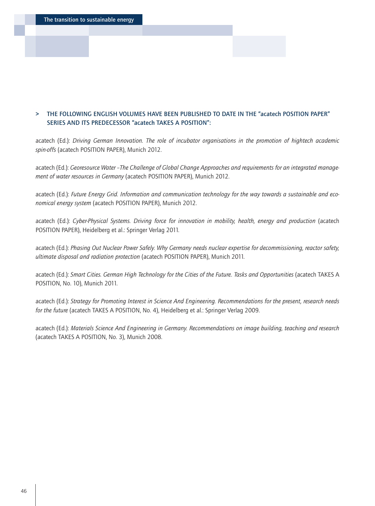The transition to sustainable energy

# > THE FOLLOWING ENGLISH VOLUMES HAVE BEEN PUBLISHED TO DATE IN THE "acatech POSITION PAPER" SERIES AND ITS PREDECESSOR "acatech TAKES A POSITION":

acatech (Ed.): *Driving German Innovation. The role of incubator organisations in the promotion of hightech academic spin-offs* (acatech POSITION PAPER), Munich 2012.

acatech (Ed.): *Georesource Water –The Challenge of Global Change Approaches and requirements for an integrated management of water resources in Germany* (acatech POSITION PAPER), Munich 2012.

acatech (Ed.): *Future Energy Grid. Information and communication technology for the way towards a sustainable and economical energy system* (acatech POSITION PAPER), Munich 2012.

acatech (Ed.): *Cyber-Physical Systems. Driving force for innovation in mobility, health, energy and production* (acatech POSITION PAPER), Heidelberg et al.: Springer Verlag 2011.

acatech (Ed.): *Phasing Out Nuclear Power Safely. Why Germany needs nuclear expertise for decommissioning, reactor safety, ultimate disposal and radiation protection* (acatech POSITION PAPER), Munich 2011.

acatech (Ed.): *Smart Cities. German High Technology for the Cities of the Future. Tasks and Opportunities* (acatech TAKES A POSITION, No. 10), Munich 2011.

acatech (Ed.): *Strategy for Promoting Interest in Science And Engineering. Recommendations for the present, research needs for the future* (acatech TAKES A POSITION, No. 4), Heidelberg et al.: Springer Verlag 2009.

acatech (Ed.): *Materials Science And Engineering in Germany. Recommendations on image building, teaching and research* (acatech TAKES A POSITION, No. 3), Munich 2008.